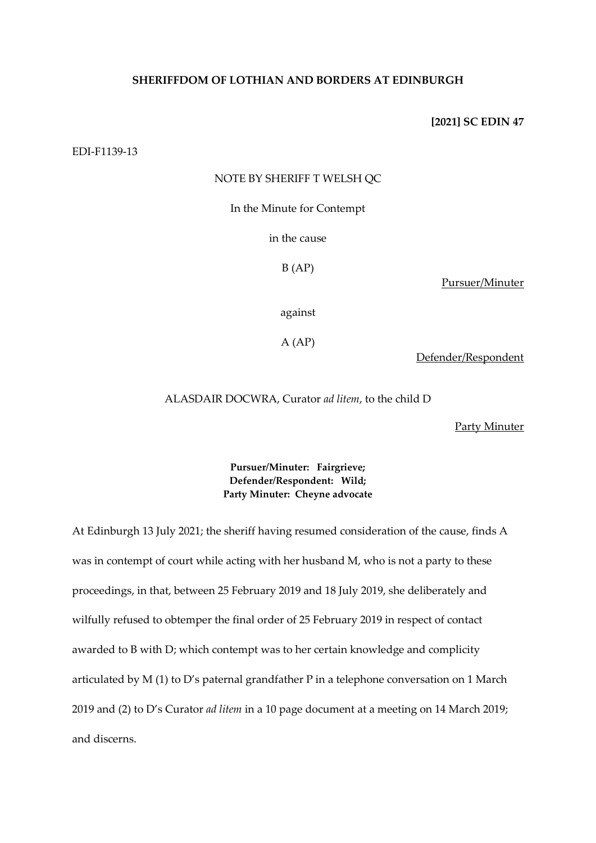# **SHERIFFDOM OF LOTHIAN AND BORDERS AT EDINBURGH**

### **[2021] SC EDIN 47**

EDI-F1139-13

### NOTE BY SHERIFF T WELSH QC

In the Minute for Contempt

in the cause

 $B(AP)$ 

Pursuer/Minuter

against

 $A (AP)$ 

Defender/Respondent

ALASDAIR DOCWRA, Curator *ad litem*, to the child D

Party Minuter

# **Pursuer/Minuter: Fairgrieve; Defender/Respondent: Wild; Party Minuter: Cheyne advocate**

At Edinburgh 13 July 2021; the sheriff having resumed consideration of the cause, finds A was in contempt of court while acting with her husband M, who is not a party to these proceedings, in that, between 25 February 2019 and 18 July 2019, she deliberately and wilfully refused to obtemper the final order of 25 February 2019 in respect of contact awarded to B with D; which contempt was to her certain knowledge and complicity articulated by M (1) to D's paternal grandfather P in a telephone conversation on 1 March 2019 and (2) to D's Curator *ad litem* in a 10 page document at a meeting on 14 March 2019; and discerns.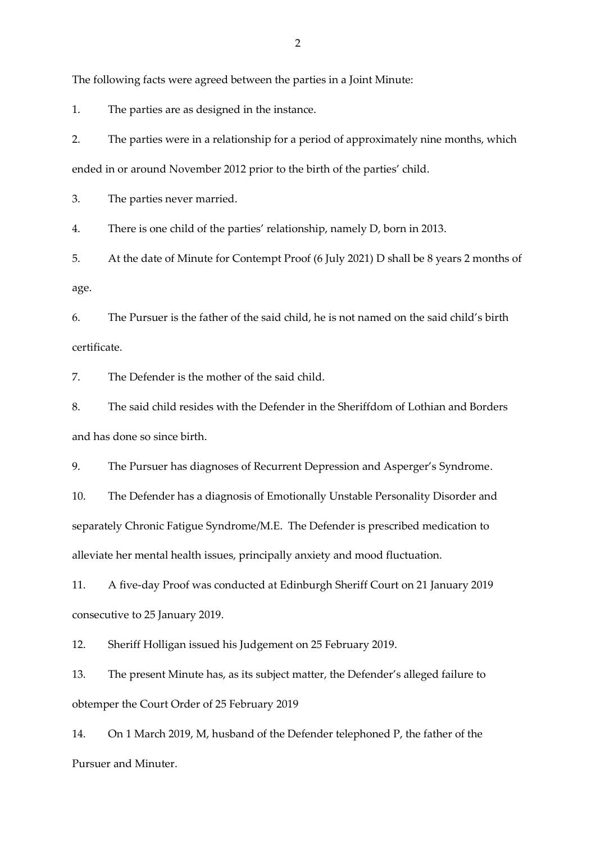The following facts were agreed between the parties in a Joint Minute:

1. The parties are as designed in the instance.

2. The parties were in a relationship for a period of approximately nine months, which ended in or around November 2012 prior to the birth of the parties' child.

3. The parties never married.

4. There is one child of the parties' relationship, namely D, born in 2013.

5. At the date of Minute for Contempt Proof (6 July 2021) D shall be 8 years 2 months of age.

6. The Pursuer is the father of the said child, he is not named on the said child's birth certificate.

7. The Defender is the mother of the said child.

8. The said child resides with the Defender in the Sheriffdom of Lothian and Borders and has done so since birth.

9. The Pursuer has diagnoses of Recurrent Depression and Asperger's Syndrome.

10. The Defender has a diagnosis of Emotionally Unstable Personality Disorder and separately Chronic Fatigue Syndrome/M.E. The Defender is prescribed medication to alleviate her mental health issues, principally anxiety and mood fluctuation.

11. A five-day Proof was conducted at Edinburgh Sheriff Court on 21 January 2019 consecutive to 25 January 2019.

12. Sheriff Holligan issued his Judgement on 25 February 2019.

13. The present Minute has, as its subject matter, the Defender's alleged failure to obtemper the Court Order of 25 February 2019

14. On 1 March 2019, M, husband of the Defender telephoned P, the father of the Pursuer and Minuter.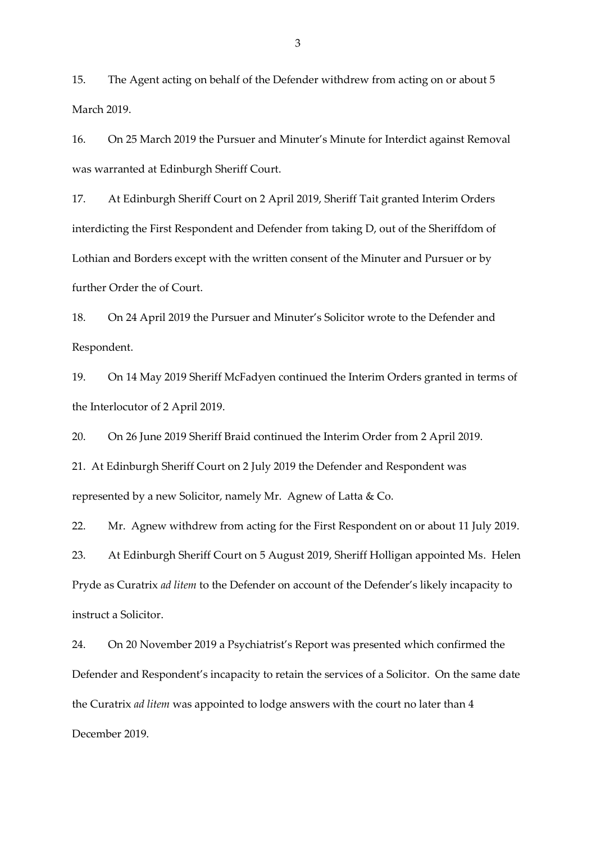15. The Agent acting on behalf of the Defender withdrew from acting on or about 5 March 2019.

16. On 25 March 2019 the Pursuer and Minuter's Minute for Interdict against Removal was warranted at Edinburgh Sheriff Court.

17. At Edinburgh Sheriff Court on 2 April 2019, Sheriff Tait granted Interim Orders interdicting the First Respondent and Defender from taking D, out of the Sheriffdom of Lothian and Borders except with the written consent of the Minuter and Pursuer or by further Order the of Court.

18. On 24 April 2019 the Pursuer and Minuter's Solicitor wrote to the Defender and Respondent.

19. On 14 May 2019 Sheriff McFadyen continued the Interim Orders granted in terms of the Interlocutor of 2 April 2019.

20. On 26 June 2019 Sheriff Braid continued the Interim Order from 2 April 2019.

21. At Edinburgh Sheriff Court on 2 July 2019 the Defender and Respondent was represented by a new Solicitor, namely Mr. Agnew of Latta & Co.

22. Mr. Agnew withdrew from acting for the First Respondent on or about 11 July 2019.

23. At Edinburgh Sheriff Court on 5 August 2019, Sheriff Holligan appointed Ms. Helen Pryde as Curatrix *ad litem* to the Defender on account of the Defender's likely incapacity to instruct a Solicitor.

24. On 20 November 2019 a Psychiatrist's Report was presented which confirmed the Defender and Respondent's incapacity to retain the services of a Solicitor. On the same date the Curatrix *ad litem* was appointed to lodge answers with the court no later than 4 December 2019.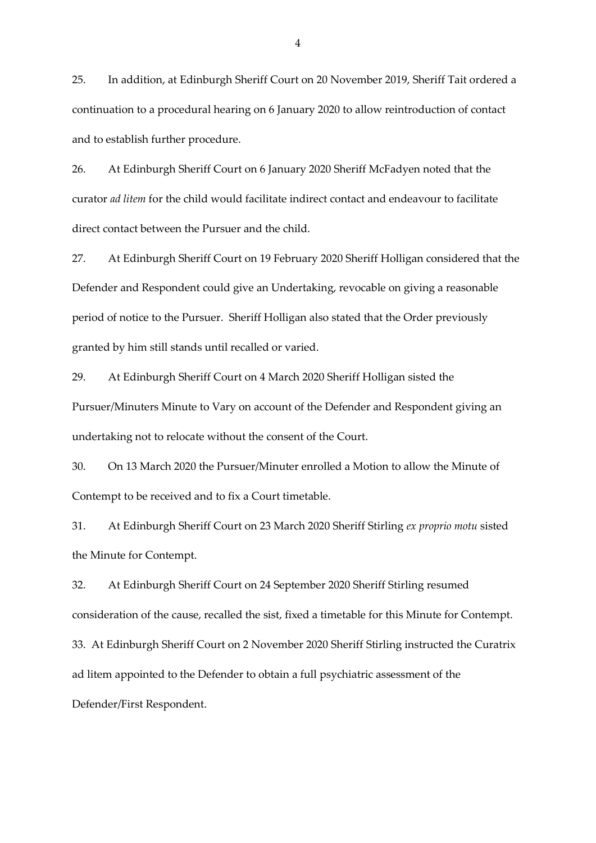25. In addition, at Edinburgh Sheriff Court on 20 November 2019, Sheriff Tait ordered a continuation to a procedural hearing on 6 January 2020 to allow reintroduction of contact and to establish further procedure.

26. At Edinburgh Sheriff Court on 6 January 2020 Sheriff McFadyen noted that the curator *ad litem* for the child would facilitate indirect contact and endeavour to facilitate direct contact between the Pursuer and the child.

27. At Edinburgh Sheriff Court on 19 February 2020 Sheriff Holligan considered that the Defender and Respondent could give an Undertaking, revocable on giving a reasonable period of notice to the Pursuer. Sheriff Holligan also stated that the Order previously granted by him still stands until recalled or varied.

29. At Edinburgh Sheriff Court on 4 March 2020 Sheriff Holligan sisted the Pursuer/Minuters Minute to Vary on account of the Defender and Respondent giving an undertaking not to relocate without the consent of the Court.

30. On 13 March 2020 the Pursuer/Minuter enrolled a Motion to allow the Minute of Contempt to be received and to fix a Court timetable.

31. At Edinburgh Sheriff Court on 23 March 2020 Sheriff Stirling *ex proprio motu* sisted the Minute for Contempt.

32. At Edinburgh Sheriff Court on 24 September 2020 Sheriff Stirling resumed consideration of the cause, recalled the sist, fixed a timetable for this Minute for Contempt. 33. At Edinburgh Sheriff Court on 2 November 2020 Sheriff Stirling instructed the Curatrix ad litem appointed to the Defender to obtain a full psychiatric assessment of the Defender/First Respondent.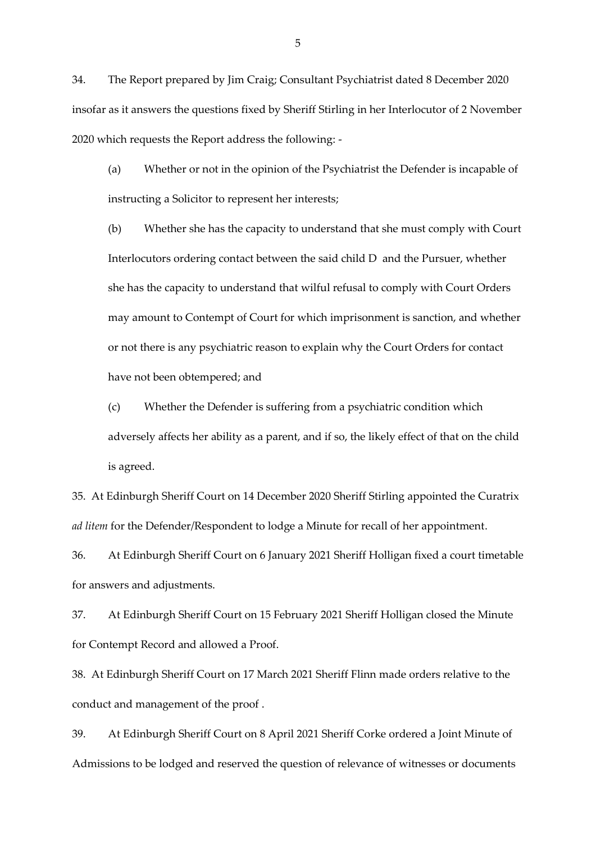34. The Report prepared by Jim Craig; Consultant Psychiatrist dated 8 December 2020 insofar as it answers the questions fixed by Sheriff Stirling in her Interlocutor of 2 November 2020 which requests the Report address the following: -

(a) Whether or not in the opinion of the Psychiatrist the Defender is incapable of instructing a Solicitor to represent her interests;

(b) Whether she has the capacity to understand that she must comply with Court Interlocutors ordering contact between the said child D and the Pursuer, whether she has the capacity to understand that wilful refusal to comply with Court Orders may amount to Contempt of Court for which imprisonment is sanction, and whether or not there is any psychiatric reason to explain why the Court Orders for contact have not been obtempered; and

(c) Whether the Defender is suffering from a psychiatric condition which adversely affects her ability as a parent, and if so, the likely effect of that on the child is agreed.

35. At Edinburgh Sheriff Court on 14 December 2020 Sheriff Stirling appointed the Curatrix *ad litem* for the Defender/Respondent to lodge a Minute for recall of her appointment.

36. At Edinburgh Sheriff Court on 6 January 2021 Sheriff Holligan fixed a court timetable for answers and adjustments.

37. At Edinburgh Sheriff Court on 15 February 2021 Sheriff Holligan closed the Minute for Contempt Record and allowed a Proof.

38. At Edinburgh Sheriff Court on 17 March 2021 Sheriff Flinn made orders relative to the conduct and management of the proof .

39. At Edinburgh Sheriff Court on 8 April 2021 Sheriff Corke ordered a Joint Minute of Admissions to be lodged and reserved the question of relevance of witnesses or documents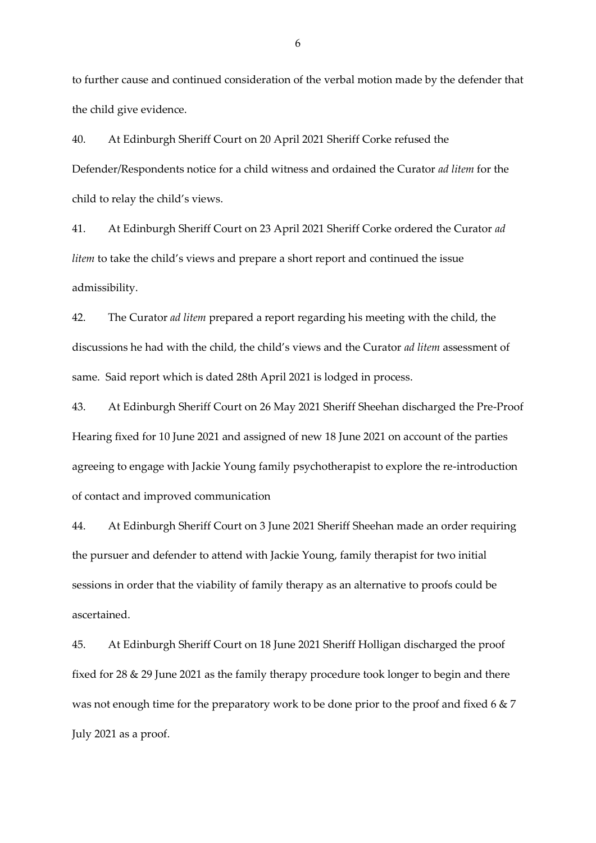to further cause and continued consideration of the verbal motion made by the defender that the child give evidence.

40. At Edinburgh Sheriff Court on 20 April 2021 Sheriff Corke refused the Defender/Respondents notice for a child witness and ordained the Curator *ad litem* for the child to relay the child's views.

41. At Edinburgh Sheriff Court on 23 April 2021 Sheriff Corke ordered the Curator *ad litem* to take the child's views and prepare a short report and continued the issue admissibility.

42. The Curator *ad litem* prepared a report regarding his meeting with the child, the discussions he had with the child, the child's views and the Curator *ad litem* assessment of same. Said report which is dated 28th April 2021 is lodged in process.

43. At Edinburgh Sheriff Court on 26 May 2021 Sheriff Sheehan discharged the Pre-Proof Hearing fixed for 10 June 2021 and assigned of new 18 June 2021 on account of the parties agreeing to engage with Jackie Young family psychotherapist to explore the re-introduction of contact and improved communication

44. At Edinburgh Sheriff Court on 3 June 2021 Sheriff Sheehan made an order requiring the pursuer and defender to attend with Jackie Young, family therapist for two initial sessions in order that the viability of family therapy as an alternative to proofs could be ascertained.

45. At Edinburgh Sheriff Court on 18 June 2021 Sheriff Holligan discharged the proof fixed for 28 & 29 June 2021 as the family therapy procedure took longer to begin and there was not enough time for the preparatory work to be done prior to the proof and fixed 6 & 7 July 2021 as a proof.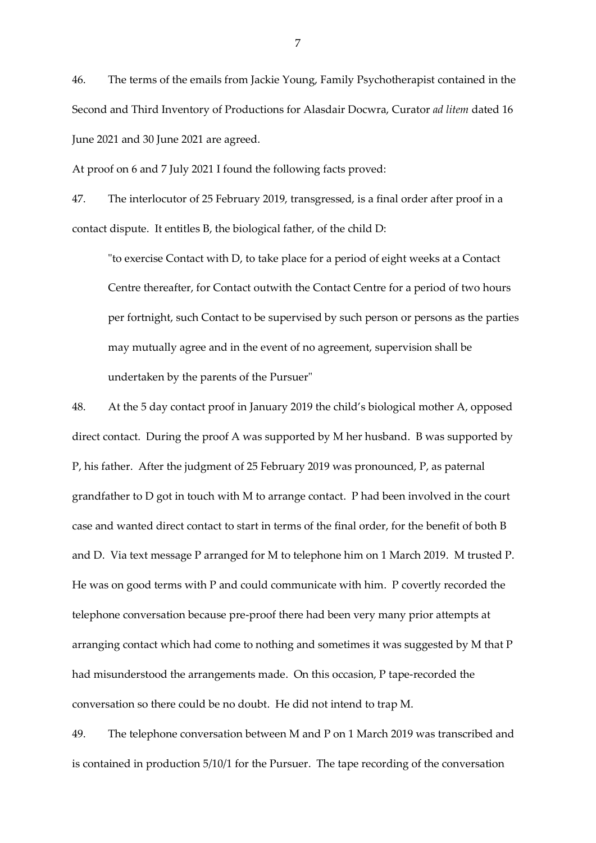46. The terms of the emails from Jackie Young, Family Psychotherapist contained in the Second and Third Inventory of Productions for Alasdair Docwra, Curator *ad litem* dated 16 June 2021 and 30 June 2021 are agreed.

At proof on 6 and 7 July 2021 I found the following facts proved:

47. The interlocutor of 25 February 2019, transgressed, is a final order after proof in a contact dispute. It entitles B, the biological father, of the child D:

"to exercise Contact with D, to take place for a period of eight weeks at a Contact Centre thereafter, for Contact outwith the Contact Centre for a period of two hours per fortnight, such Contact to be supervised by such person or persons as the parties may mutually agree and in the event of no agreement, supervision shall be undertaken by the parents of the Pursuer"

48. At the 5 day contact proof in January 2019 the child's biological mother A, opposed direct contact. During the proof A was supported by M her husband. B was supported by P, his father. After the judgment of 25 February 2019 was pronounced, P, as paternal grandfather to D got in touch with M to arrange contact. P had been involved in the court case and wanted direct contact to start in terms of the final order, for the benefit of both B and D. Via text message P arranged for M to telephone him on 1 March 2019. M trusted P. He was on good terms with P and could communicate with him. P covertly recorded the telephone conversation because pre-proof there had been very many prior attempts at arranging contact which had come to nothing and sometimes it was suggested by M that P had misunderstood the arrangements made. On this occasion, P tape-recorded the conversation so there could be no doubt. He did not intend to trap M.

49. The telephone conversation between M and P on 1 March 2019 was transcribed and is contained in production 5/10/1 for the Pursuer. The tape recording of the conversation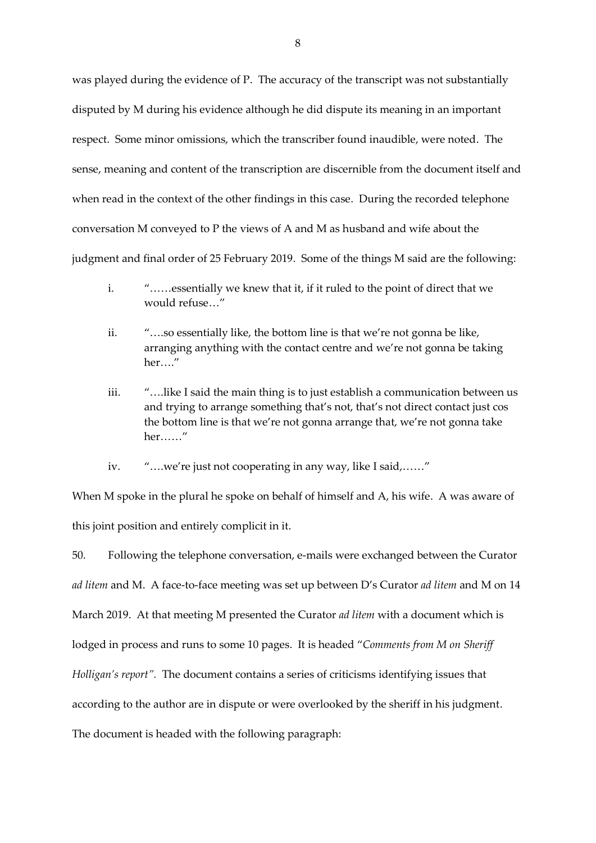was played during the evidence of P. The accuracy of the transcript was not substantially disputed by M during his evidence although he did dispute its meaning in an important respect. Some minor omissions, which the transcriber found inaudible, were noted. The sense, meaning and content of the transcription are discernible from the document itself and when read in the context of the other findings in this case. During the recorded telephone conversation M conveyed to P the views of A and M as husband and wife about the judgment and final order of 25 February 2019. Some of the things M said are the following:

- i. "……essentially we knew that it, if it ruled to the point of direct that we would refuse…"
- ii. "….so essentially like, the bottom line is that we're not gonna be like, arranging anything with the contact centre and we're not gonna be taking her…."
- iii. "….like I said the main thing is to just establish a communication between us and trying to arrange something that's not, that's not direct contact just cos the bottom line is that we're not gonna arrange that, we're not gonna take her……"
- iv. "….we're just not cooperating in any way, like I said,……"

When M spoke in the plural he spoke on behalf of himself and A, his wife. A was aware of this joint position and entirely complicit in it.

50. Following the telephone conversation, e-mails were exchanged between the Curator *ad litem* and M. A face-to-face meeting was set up between D's Curator *ad litem* and M on 14 March 2019. At that meeting M presented the Curator *ad litem* with a document which is lodged in process and runs to some 10 pages. It is headed "*Comments from M on Sheriff Holligan's report".* The document contains a series of criticisms identifying issues that according to the author are in dispute or were overlooked by the sheriff in his judgment. The document is headed with the following paragraph: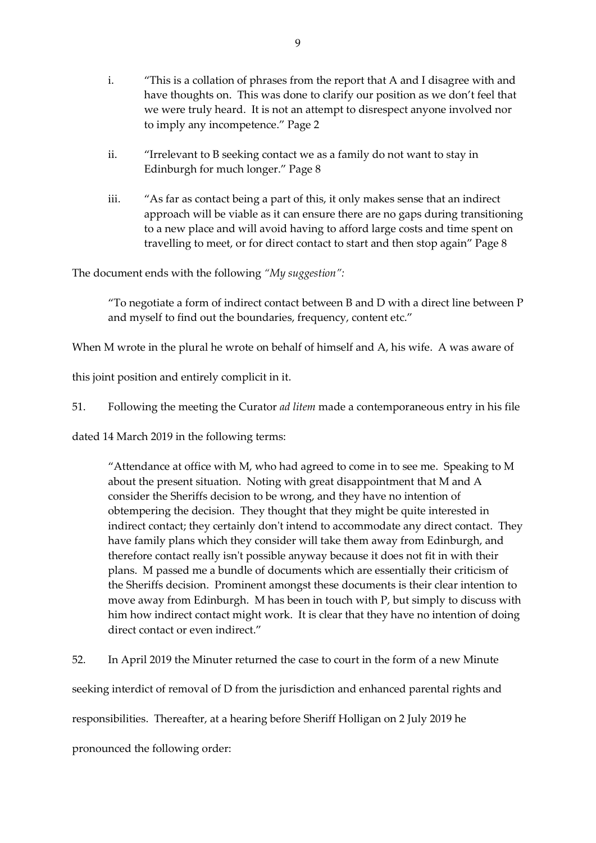- i. "This is a collation of phrases from the report that A and I disagree with and have thoughts on. This was done to clarify our position as we don't feel that we were truly heard. It is not an attempt to disrespect anyone involved nor to imply any incompetence." Page 2
- ii. "Irrelevant to B seeking contact we as a family do not want to stay in Edinburgh for much longer." Page 8
- iii. "As far as contact being a part of this, it only makes sense that an indirect approach will be viable as it can ensure there are no gaps during transitioning to a new place and will avoid having to afford large costs and time spent on travelling to meet, or for direct contact to start and then stop again" Page 8

The document ends with the following *"My suggestion":*

"To negotiate a form of indirect contact between B and D with a direct line between P and myself to find out the boundaries, frequency, content etc."

When M wrote in the plural he wrote on behalf of himself and A, his wife. A was aware of

this joint position and entirely complicit in it.

51. Following the meeting the Curator *ad litem* made a contemporaneous entry in his file

dated 14 March 2019 in the following terms:

"Attendance at office with M, who had agreed to come in to see me. Speaking to M about the present situation. Noting with great disappointment that M and A consider the Sheriffs decision to be wrong, and they have no intention of obtempering the decision. They thought that they might be quite interested in indirect contact; they certainly don't intend to accommodate any direct contact. They have family plans which they consider will take them away from Edinburgh, and therefore contact really isn't possible anyway because it does not fit in with their plans. M passed me a bundle of documents which are essentially their criticism of the Sheriffs decision. Prominent amongst these documents is their clear intention to move away from Edinburgh. M has been in touch with P, but simply to discuss with him how indirect contact might work. It is clear that they have no intention of doing direct contact or even indirect."

52. In April 2019 the Minuter returned the case to court in the form of a new Minute

seeking interdict of removal of D from the jurisdiction and enhanced parental rights and

responsibilities. Thereafter, at a hearing before Sheriff Holligan on 2 July 2019 he

pronounced the following order: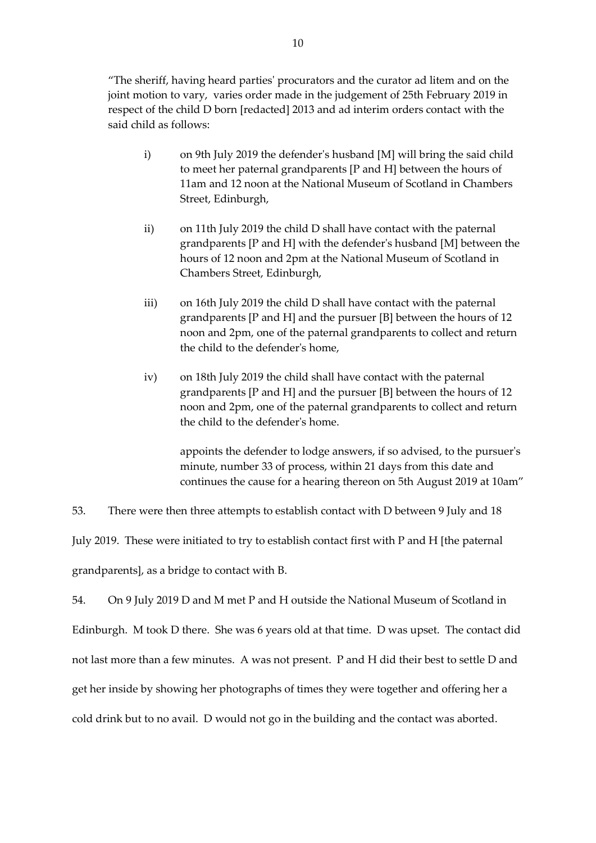"The sheriff, having heard parties' procurators and the curator ad litem and on the joint motion to vary, varies order made in the judgement of 25th February 2019 in respect of the child D born [redacted] 2013 and ad interim orders contact with the said child as follows:

- i) on 9th July 2019 the defender's husband [M] will bring the said child to meet her paternal grandparents [P and H] between the hours of 11am and 12 noon at the National Museum of Scotland in Chambers Street, Edinburgh,
- ii) on 11th July 2019 the child D shall have contact with the paternal grandparents [P and H] with the defender's husband [M] between the hours of 12 noon and 2pm at the National Museum of Scotland in Chambers Street, Edinburgh,
- iii) on 16th July 2019 the child D shall have contact with the paternal grandparents [P and H] and the pursuer [B] between the hours of 12 noon and 2pm, one of the paternal grandparents to collect and return the child to the defender's home,
- iv) on 18th July 2019 the child shall have contact with the paternal grandparents [P and H] and the pursuer [B] between the hours of 12 noon and 2pm, one of the paternal grandparents to collect and return the child to the defender's home.

appoints the defender to lodge answers, if so advised, to the pursuer's minute, number 33 of process, within 21 days from this date and continues the cause for a hearing thereon on 5th August 2019 at 10am"

53. There were then three attempts to establish contact with D between 9 July and 18 July 2019. These were initiated to try to establish contact first with P and H [the paternal grandparents], as a bridge to contact with B.

54. On 9 July 2019 D and M met P and H outside the National Museum of Scotland in Edinburgh. M took D there. She was 6 years old at that time. D was upset. The contact did not last more than a few minutes. A was not present. P and H did their best to settle D and get her inside by showing her photographs of times they were together and offering her a cold drink but to no avail. D would not go in the building and the contact was aborted.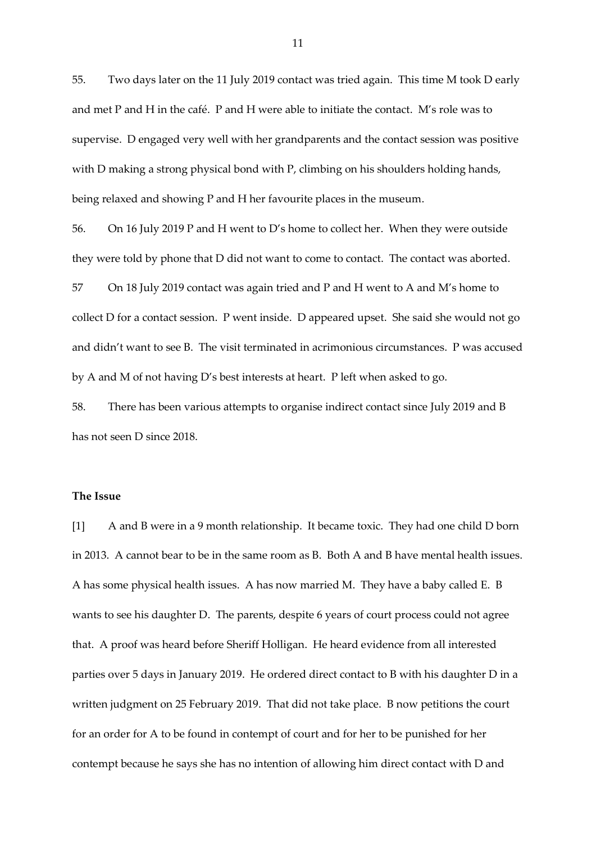55. Two days later on the 11 July 2019 contact was tried again. This time M took D early and met P and H in the café. P and H were able to initiate the contact. M's role was to supervise. D engaged very well with her grandparents and the contact session was positive with D making a strong physical bond with P, climbing on his shoulders holding hands, being relaxed and showing P and H her favourite places in the museum.

56. On 16 July 2019 P and H went to D's home to collect her. When they were outside they were told by phone that D did not want to come to contact. The contact was aborted.

57 On 18 July 2019 contact was again tried and P and H went to A and M's home to collect D for a contact session. P went inside. D appeared upset. She said she would not go and didn't want to see B. The visit terminated in acrimonious circumstances. P was accused by A and M of not having D's best interests at heart. P left when asked to go.

58. There has been various attempts to organise indirect contact since July 2019 and B has not seen D since 2018.

# **The Issue**

[1] A and B were in a 9 month relationship. It became toxic. They had one child D born in 2013. A cannot bear to be in the same room as B. Both A and B have mental health issues. A has some physical health issues. A has now married M. They have a baby called E. B wants to see his daughter D. The parents, despite 6 years of court process could not agree that. A proof was heard before Sheriff Holligan. He heard evidence from all interested parties over 5 days in January 2019. He ordered direct contact to B with his daughter D in a written judgment on 25 February 2019. That did not take place. B now petitions the court for an order for A to be found in contempt of court and for her to be punished for her contempt because he says she has no intention of allowing him direct contact with D and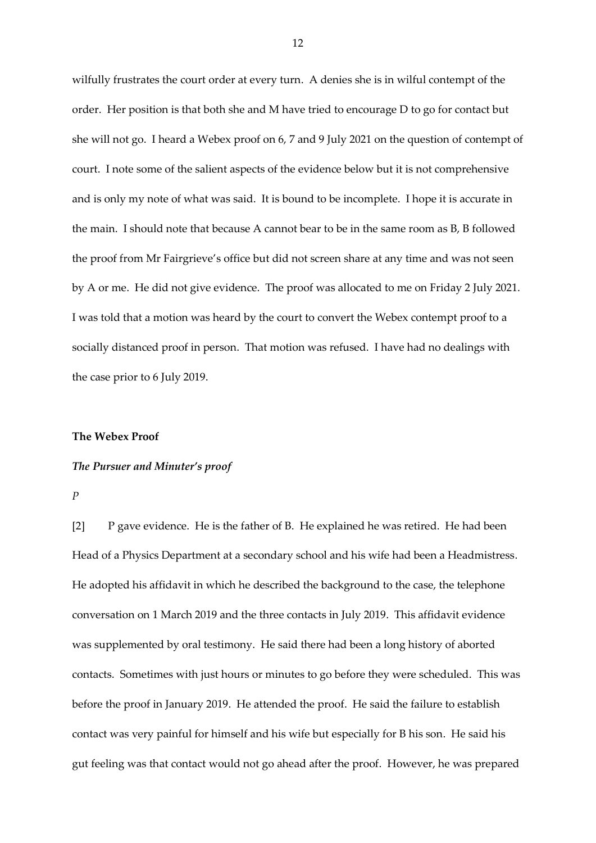wilfully frustrates the court order at every turn. A denies she is in wilful contempt of the order. Her position is that both she and M have tried to encourage D to go for contact but she will not go. I heard a Webex proof on 6, 7 and 9 July 2021 on the question of contempt of court. I note some of the salient aspects of the evidence below but it is not comprehensive and is only my note of what was said. It is bound to be incomplete. I hope it is accurate in the main. I should note that because A cannot bear to be in the same room as B, B followed the proof from Mr Fairgrieve's office but did not screen share at any time and was not seen by A or me. He did not give evidence. The proof was allocated to me on Friday 2 July 2021. I was told that a motion was heard by the court to convert the Webex contempt proof to a socially distanced proof in person. That motion was refused. I have had no dealings with the case prior to 6 July 2019.

#### **The Webex Proof**

### *The Pursuer and Minuter's proof*

*P*

[2] P gave evidence. He is the father of B. He explained he was retired. He had been Head of a Physics Department at a secondary school and his wife had been a Headmistress. He adopted his affidavit in which he described the background to the case, the telephone conversation on 1 March 2019 and the three contacts in July 2019. This affidavit evidence was supplemented by oral testimony. He said there had been a long history of aborted contacts. Sometimes with just hours or minutes to go before they were scheduled. This was before the proof in January 2019. He attended the proof. He said the failure to establish contact was very painful for himself and his wife but especially for B his son. He said his gut feeling was that contact would not go ahead after the proof. However, he was prepared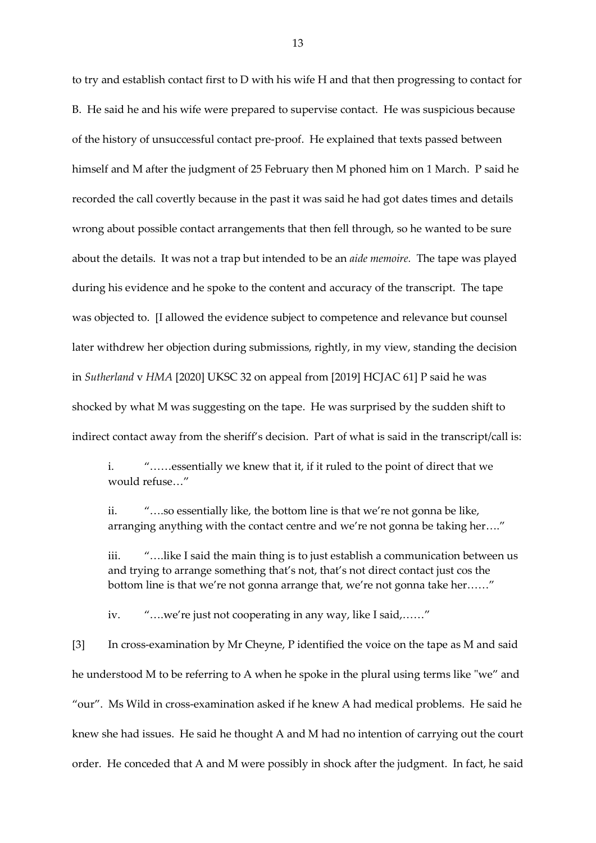to try and establish contact first to D with his wife H and that then progressing to contact for B. He said he and his wife were prepared to supervise contact. He was suspicious because of the history of unsuccessful contact pre-proof. He explained that texts passed between himself and M after the judgment of 25 February then M phoned him on 1 March. P said he recorded the call covertly because in the past it was said he had got dates times and details wrong about possible contact arrangements that then fell through, so he wanted to be sure about the details. It was not a trap but intended to be an *aide memoire.* The tape was played during his evidence and he spoke to the content and accuracy of the transcript. The tape was objected to. [I allowed the evidence subject to competence and relevance but counsel later withdrew her objection during submissions, rightly, in my view, standing the decision in *Sutherland* v *HMA* [2020] UKSC 32 on appeal from [2019] HCJAC 61] P said he was shocked by what M was suggesting on the tape. He was surprised by the sudden shift to indirect contact away from the sheriff's decision. Part of what is said in the transcript/call is:

i. "……essentially we knew that it, if it ruled to the point of direct that we would refuse…"

ii. "….so essentially like, the bottom line is that we're not gonna be like, arranging anything with the contact centre and we're not gonna be taking her…."

iii. "….like I said the main thing is to just establish a communication between us and trying to arrange something that's not, that's not direct contact just cos the bottom line is that we're not gonna arrange that, we're not gonna take her……"

iv. "….we're just not cooperating in any way, like I said,……"

[3] In cross-examination by Mr Cheyne, P identified the voice on the tape as M and said he understood M to be referring to A when he spoke in the plural using terms like "we" and "our". Ms Wild in cross-examination asked if he knew A had medical problems. He said he knew she had issues. He said he thought A and M had no intention of carrying out the court order. He conceded that A and M were possibly in shock after the judgment. In fact, he said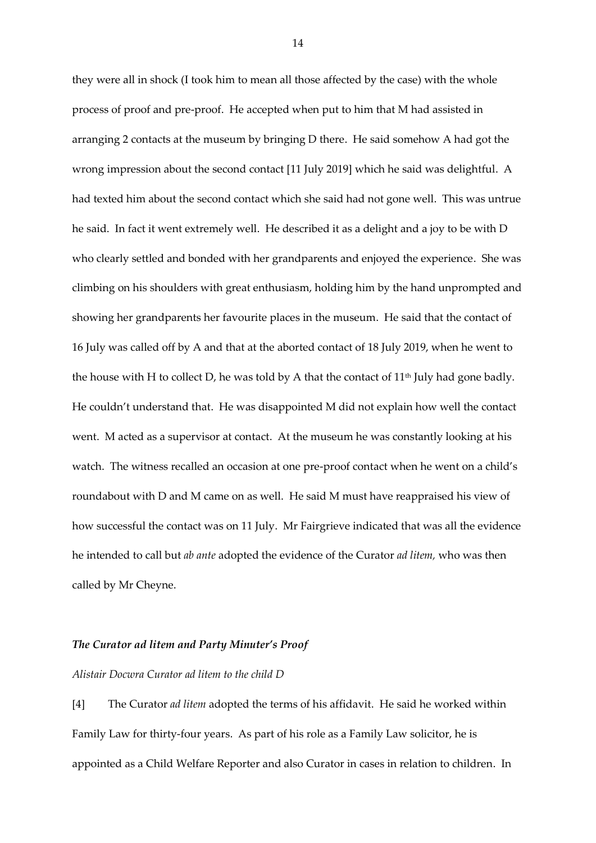they were all in shock (I took him to mean all those affected by the case) with the whole process of proof and pre-proof. He accepted when put to him that M had assisted in arranging 2 contacts at the museum by bringing D there. He said somehow A had got the wrong impression about the second contact [11 July 2019] which he said was delightful. A had texted him about the second contact which she said had not gone well. This was untrue he said. In fact it went extremely well. He described it as a delight and a joy to be with D who clearly settled and bonded with her grandparents and enjoyed the experience. She was climbing on his shoulders with great enthusiasm, holding him by the hand unprompted and showing her grandparents her favourite places in the museum. He said that the contact of 16 July was called off by A and that at the aborted contact of 18 July 2019, when he went to the house with H to collect D, he was told by A that the contact of  $11<sup>th</sup>$  July had gone badly. He couldn't understand that. He was disappointed M did not explain how well the contact went. M acted as a supervisor at contact. At the museum he was constantly looking at his watch. The witness recalled an occasion at one pre-proof contact when he went on a child's roundabout with D and M came on as well. He said M must have reappraised his view of how successful the contact was on 11 July. Mr Fairgrieve indicated that was all the evidence he intended to call but *ab ante* adopted the evidence of the Curator *ad litem,* who was then called by Mr Cheyne.

### *The Curator ad litem and Party Minuter's Proof*

#### *Alistair Docwra Curator ad litem to the child D*

[4] The Curator *ad litem* adopted the terms of his affidavit. He said he worked within Family Law for thirty-four years. As part of his role as a Family Law solicitor, he is appointed as a Child Welfare Reporter and also Curator in cases in relation to children. In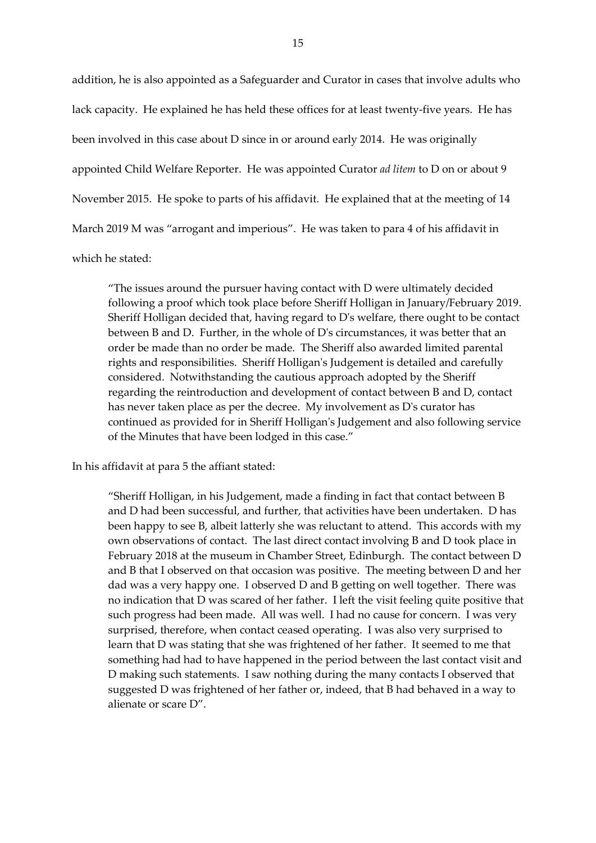addition, he is also appointed as a Safeguarder and Curator in cases that involve adults who lack capacity. He explained he has held these offices for at least twenty-five years. He has been involved in this case about D since in or around early 2014. He was originally appointed Child Welfare Reporter. He was appointed Curator *ad litem* to D on or about 9 November 2015. He spoke to parts of his affidavit. He explained that at the meeting of 14 March 2019 M was "arrogant and imperious". He was taken to para 4 of his affidavit in which he stated:

"The issues around the pursuer having contact with D were ultimately decided following a proof which took place before Sheriff Holligan in January/February 2019. Sheriff Holligan decided that, having regard to D's welfare, there ought to be contact between B and D. Further, in the whole of D's circumstances, it was better that an order be made than no order be made. The Sheriff also awarded limited parental rights and responsibilities. Sheriff Holligan's Judgement is detailed and carefully considered. Notwithstanding the cautious approach adopted by the Sheriff regarding the reintroduction and development of contact between B and D, contact has never taken place as per the decree. My involvement as D's curator has continued as provided for in Sheriff Holligan's Judgement and also following service of the Minutes that have been lodged in this case."

In his affidavit at para 5 the affiant stated:

"Sheriff Holligan, in his Judgement, made a finding in fact that contact between B and D had been successful, and further, that activities have been undertaken. D has been happy to see B, albeit latterly she was reluctant to attend. This accords with my own observations of contact. The last direct contact involving B and D took place in February 2018 at the museum in Chamber Street, Edinburgh. The contact between D and B that I observed on that occasion was positive. The meeting between D and her dad was a very happy one. I observed D and B getting on well together. There was no indication that D was scared of her father. I left the visit feeling quite positive that such progress had been made. All was well. I had no cause for concern. I was very surprised, therefore, when contact ceased operating. I was also very surprised to learn that D was stating that she was frightened of her father. It seemed to me that something had had to have happened in the period between the last contact visit and D making such statements. I saw nothing during the many contacts I observed that suggested D was frightened of her father or, indeed, that B had behaved in a way to alienate or scare D".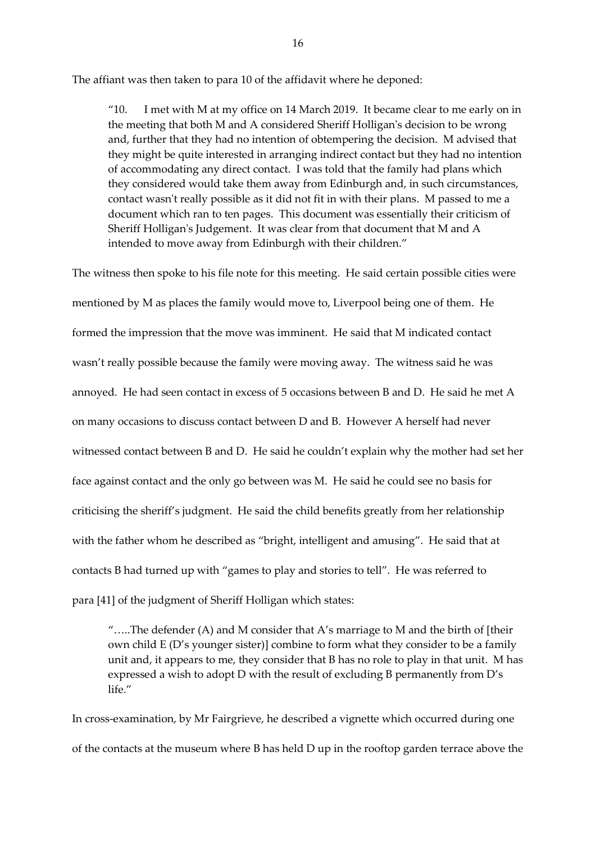The affiant was then taken to para 10 of the affidavit where he deponed:

"10. I met with M at my office on 14 March 2019. It became clear to me early on in the meeting that both M and A considered Sheriff Holligan's decision to be wrong and, further that they had no intention of obtempering the decision. M advised that they might be quite interested in arranging indirect contact but they had no intention of accommodating any direct contact. I was told that the family had plans which they considered would take them away from Edinburgh and, in such circumstances, contact wasn't really possible as it did not fit in with their plans. M passed to me a document which ran to ten pages. This document was essentially their criticism of Sheriff Holligan's Judgement. It was clear from that document that M and A intended to move away from Edinburgh with their children."

The witness then spoke to his file note for this meeting. He said certain possible cities were mentioned by M as places the family would move to, Liverpool being one of them. He formed the impression that the move was imminent. He said that M indicated contact wasn't really possible because the family were moving away. The witness said he was annoyed. He had seen contact in excess of 5 occasions between B and D. He said he met A on many occasions to discuss contact between D and B. However A herself had never witnessed contact between B and D. He said he couldn't explain why the mother had set her face against contact and the only go between was M. He said he could see no basis for criticising the sheriff's judgment. He said the child benefits greatly from her relationship with the father whom he described as "bright, intelligent and amusing". He said that at contacts B had turned up with "games to play and stories to tell". He was referred to para [41] of the judgment of Sheriff Holligan which states:

"…..The defender (A) and M consider that A's marriage to M and the birth of [their own child E (D's younger sister)] combine to form what they consider to be a family unit and, it appears to me, they consider that B has no role to play in that unit. M has expressed a wish to adopt D with the result of excluding B permanently from D's life."

In cross-examination, by Mr Fairgrieve, he described a vignette which occurred during one of the contacts at the museum where B has held D up in the rooftop garden terrace above the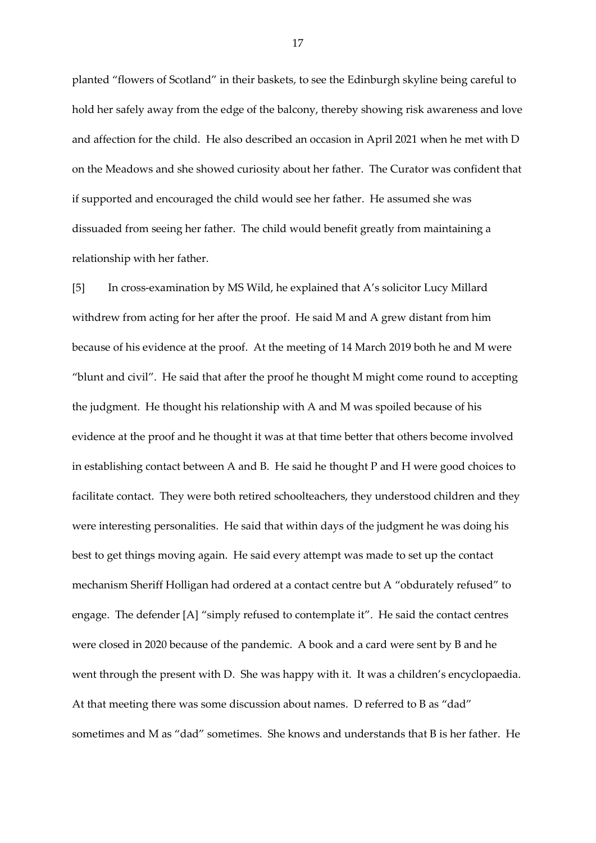planted "flowers of Scotland" in their baskets, to see the Edinburgh skyline being careful to hold her safely away from the edge of the balcony, thereby showing risk awareness and love and affection for the child. He also described an occasion in April 2021 when he met with D on the Meadows and she showed curiosity about her father. The Curator was confident that if supported and encouraged the child would see her father. He assumed she was dissuaded from seeing her father. The child would benefit greatly from maintaining a relationship with her father.

[5] In cross-examination by MS Wild, he explained that A's solicitor Lucy Millard withdrew from acting for her after the proof. He said M and A grew distant from him because of his evidence at the proof. At the meeting of 14 March 2019 both he and M were "blunt and civil". He said that after the proof he thought M might come round to accepting the judgment. He thought his relationship with A and M was spoiled because of his evidence at the proof and he thought it was at that time better that others become involved in establishing contact between A and B. He said he thought P and H were good choices to facilitate contact. They were both retired schoolteachers, they understood children and they were interesting personalities. He said that within days of the judgment he was doing his best to get things moving again. He said every attempt was made to set up the contact mechanism Sheriff Holligan had ordered at a contact centre but A "obdurately refused" to engage. The defender [A] "simply refused to contemplate it". He said the contact centres were closed in 2020 because of the pandemic. A book and a card were sent by B and he went through the present with D. She was happy with it. It was a children's encyclopaedia. At that meeting there was some discussion about names. D referred to B as "dad" sometimes and M as "dad" sometimes. She knows and understands that B is her father. He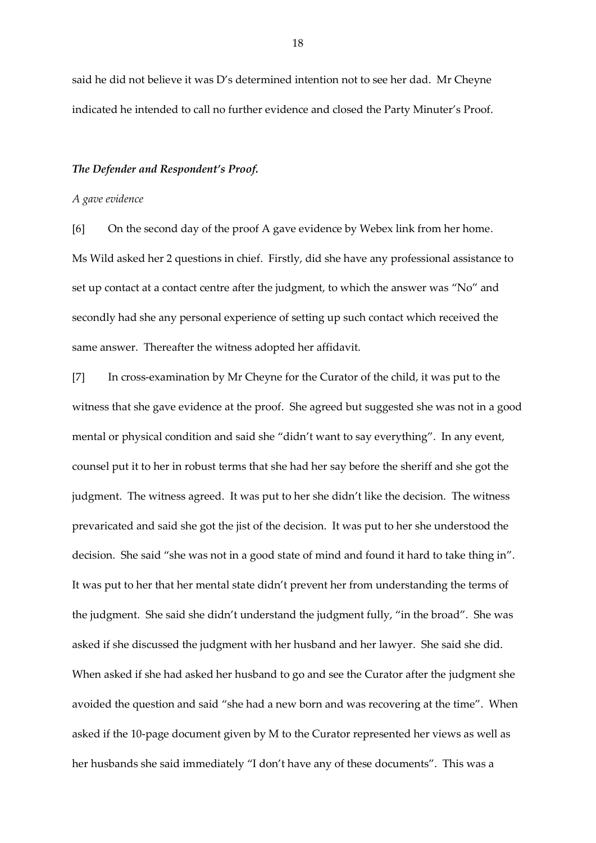said he did not believe it was D's determined intention not to see her dad. Mr Cheyne indicated he intended to call no further evidence and closed the Party Minuter's Proof.

### *The Defender and Respondent's Proof.*

#### *A gave evidence*

[6] On the second day of the proof A gave evidence by Webex link from her home. Ms Wild asked her 2 questions in chief. Firstly, did she have any professional assistance to set up contact at a contact centre after the judgment, to which the answer was "No" and secondly had she any personal experience of setting up such contact which received the same answer. Thereafter the witness adopted her affidavit.

[7] In cross-examination by Mr Cheyne for the Curator of the child, it was put to the witness that she gave evidence at the proof. She agreed but suggested she was not in a good mental or physical condition and said she "didn't want to say everything". In any event, counsel put it to her in robust terms that she had her say before the sheriff and she got the judgment. The witness agreed. It was put to her she didn't like the decision. The witness prevaricated and said she got the jist of the decision. It was put to her she understood the decision. She said "she was not in a good state of mind and found it hard to take thing in". It was put to her that her mental state didn't prevent her from understanding the terms of the judgment. She said she didn't understand the judgment fully, "in the broad". She was asked if she discussed the judgment with her husband and her lawyer. She said she did. When asked if she had asked her husband to go and see the Curator after the judgment she avoided the question and said "she had a new born and was recovering at the time". When asked if the 10-page document given by M to the Curator represented her views as well as her husbands she said immediately "I don't have any of these documents". This was a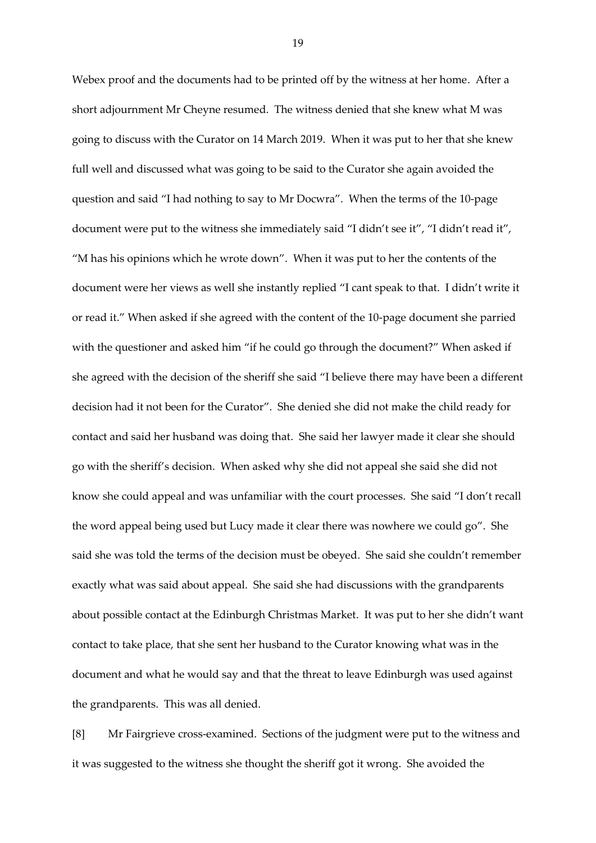Webex proof and the documents had to be printed off by the witness at her home. After a short adjournment Mr Cheyne resumed. The witness denied that she knew what M was going to discuss with the Curator on 14 March 2019. When it was put to her that she knew full well and discussed what was going to be said to the Curator she again avoided the question and said "I had nothing to say to Mr Docwra". When the terms of the 10-page document were put to the witness she immediately said "I didn't see it", "I didn't read it", "M has his opinions which he wrote down".When it was put to her the contents of the document were her views as well she instantly replied "I cant speak to that. I didn't write it or read it." When asked if she agreed with the content of the 10-page document she parried with the questioner and asked him "if he could go through the document?" When asked if she agreed with the decision of the sheriff she said "I believe there may have been a different decision had it not been for the Curator". She denied she did not make the child ready for contact and said her husband was doing that. She said her lawyer made it clear she should go with the sheriff's decision. When asked why she did not appeal she said she did not know she could appeal and was unfamiliar with the court processes. She said "I don't recall the word appeal being used but Lucy made it clear there was nowhere we could go". She said she was told the terms of the decision must be obeyed. She said she couldn't remember exactly what was said about appeal. She said she had discussions with the grandparents about possible contact at the Edinburgh Christmas Market. It was put to her she didn't want contact to take place, that she sent her husband to the Curator knowing what was in the document and what he would say and that the threat to leave Edinburgh was used against the grandparents. This was all denied.

[8] Mr Fairgrieve cross-examined. Sections of the judgment were put to the witness and it was suggested to the witness she thought the sheriff got it wrong. She avoided the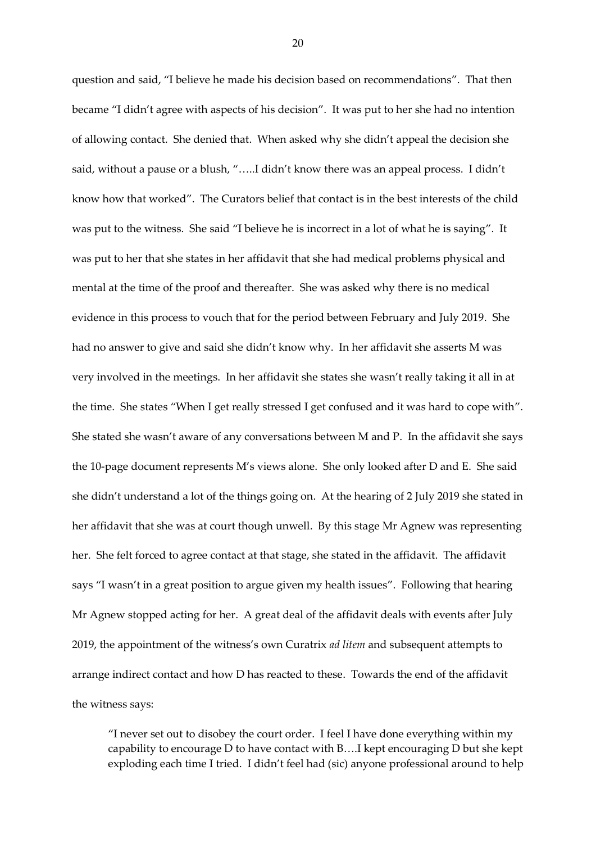question and said, "I believe he made his decision based on recommendations". That then became "I didn't agree with aspects of his decision". It was put to her she had no intention of allowing contact. She denied that. When asked why she didn't appeal the decision she said, without a pause or a blush, "…..I didn't know there was an appeal process. I didn't know how that worked". The Curators belief that contact is in the best interests of the child was put to the witness. She said "I believe he is incorrect in a lot of what he is saying". It was put to her that she states in her affidavit that she had medical problems physical and mental at the time of the proof and thereafter. She was asked why there is no medical evidence in this process to vouch that for the period between February and July 2019. She had no answer to give and said she didn't know why. In her affidavit she asserts M was very involved in the meetings. In her affidavit she states she wasn't really taking it all in at the time. She states "When I get really stressed I get confused and it was hard to cope with". She stated she wasn't aware of any conversations between M and P. In the affidavit she says the 10-page document represents M's views alone. She only looked after D and E. She said she didn't understand a lot of the things going on. At the hearing of 2 July 2019 she stated in her affidavit that she was at court though unwell. By this stage Mr Agnew was representing her. She felt forced to agree contact at that stage, she stated in the affidavit. The affidavit says "I wasn't in a great position to argue given my health issues". Following that hearing Mr Agnew stopped acting for her. A great deal of the affidavit deals with events after July 2019, the appointment of the witness's own Curatrix *ad litem* and subsequent attempts to arrange indirect contact and how D has reacted to these. Towards the end of the affidavit the witness says:

"I never set out to disobey the court order. I feel I have done everything within my capability to encourage D to have contact with B….I kept encouraging D but she kept exploding each time I tried. I didn't feel had (sic) anyone professional around to help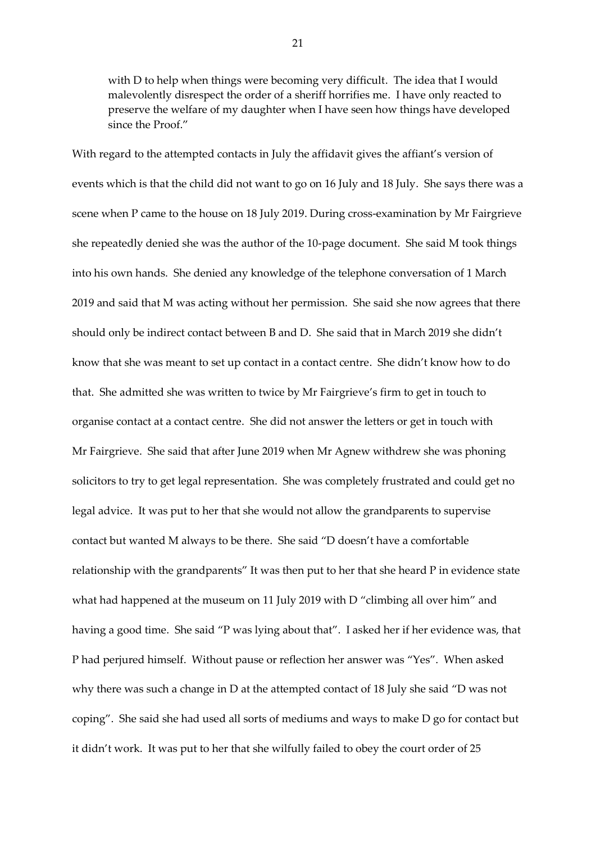with D to help when things were becoming very difficult. The idea that I would malevolently disrespect the order of a sheriff horrifies me. I have only reacted to preserve the welfare of my daughter when I have seen how things have developed since the Proof."

With regard to the attempted contacts in July the affidavit gives the affiant's version of events which is that the child did not want to go on 16 July and 18 July. She says there was a scene when P came to the house on 18 July 2019. During cross-examination by Mr Fairgrieve she repeatedly denied she was the author of the 10-page document. She said M took things into his own hands. She denied any knowledge of the telephone conversation of 1 March 2019 and said that M was acting without her permission. She said she now agrees that there should only be indirect contact between B and D. She said that in March 2019 she didn't know that she was meant to set up contact in a contact centre. She didn't know how to do that. She admitted she was written to twice by Mr Fairgrieve's firm to get in touch to organise contact at a contact centre. She did not answer the letters or get in touch with Mr Fairgrieve. She said that after June 2019 when Mr Agnew withdrew she was phoning solicitors to try to get legal representation. She was completely frustrated and could get no legal advice. It was put to her that she would not allow the grandparents to supervise contact but wanted M always to be there. She said "D doesn't have a comfortable relationship with the grandparents" It was then put to her that she heard P in evidence state what had happened at the museum on 11 July 2019 with D "climbing all over him" and having a good time. She said "P was lying about that". I asked her if her evidence was, that P had perjured himself. Without pause or reflection her answer was "Yes". When asked why there was such a change in D at the attempted contact of 18 July she said "D was not coping". She said she had used all sorts of mediums and ways to make D go for contact but it didn't work. It was put to her that she wilfully failed to obey the court order of 25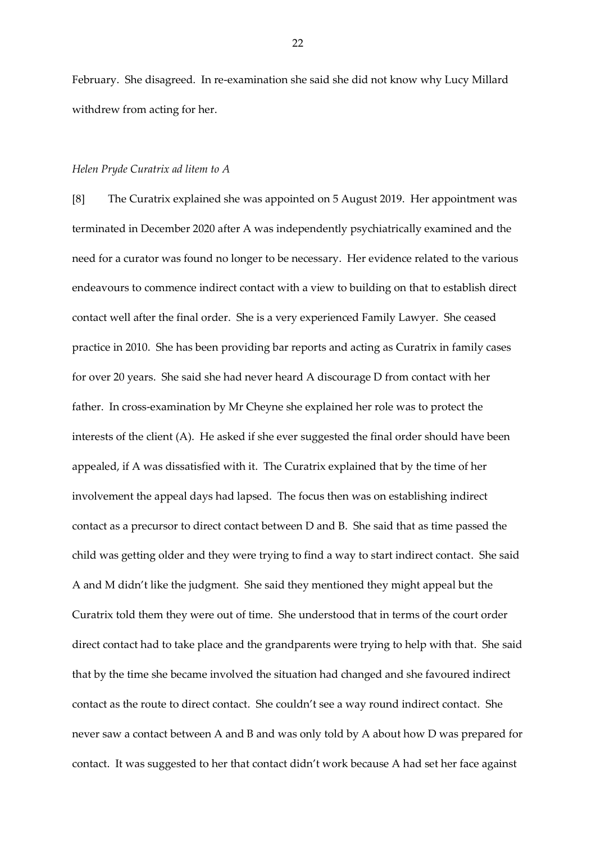February. She disagreed. In re-examination she said she did not know why Lucy Millard withdrew from acting for her.

### *Helen Pryde Curatrix ad litem to A*

[8] The Curatrix explained she was appointed on 5 August 2019. Her appointment was terminated in December 2020 after A was independently psychiatrically examined and the need for a curator was found no longer to be necessary. Her evidence related to the various endeavours to commence indirect contact with a view to building on that to establish direct contact well after the final order. She is a very experienced Family Lawyer. She ceased practice in 2010. She has been providing bar reports and acting as Curatrix in family cases for over 20 years. She said she had never heard A discourage D from contact with her father. In cross-examination by Mr Cheyne she explained her role was to protect the interests of the client (A). He asked if she ever suggested the final order should have been appealed, if A was dissatisfied with it. The Curatrix explained that by the time of her involvement the appeal days had lapsed. The focus then was on establishing indirect contact as a precursor to direct contact between D and B. She said that as time passed the child was getting older and they were trying to find a way to start indirect contact. She said A and M didn't like the judgment. She said they mentioned they might appeal but the Curatrix told them they were out of time. She understood that in terms of the court order direct contact had to take place and the grandparents were trying to help with that. She said that by the time she became involved the situation had changed and she favoured indirect contact as the route to direct contact. She couldn't see a way round indirect contact. She never saw a contact between A and B and was only told by A about how D was prepared for contact. It was suggested to her that contact didn't work because A had set her face against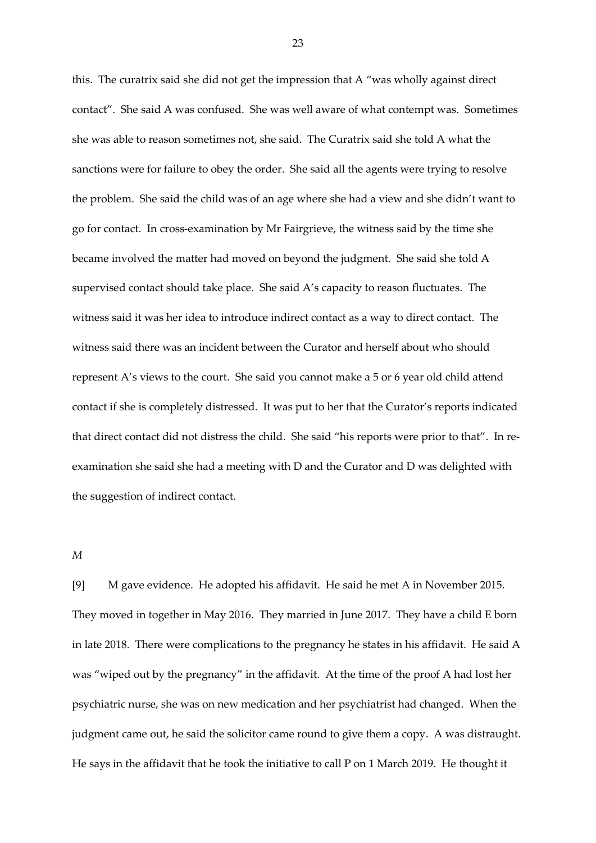this. The curatrix said she did not get the impression that A "was wholly against direct contact". She said A was confused. She was well aware of what contempt was. Sometimes she was able to reason sometimes not, she said. The Curatrix said she told A what the sanctions were for failure to obey the order. She said all the agents were trying to resolve the problem. She said the child was of an age where she had a view and she didn't want to go for contact. In cross-examination by Mr Fairgrieve, the witness said by the time she became involved the matter had moved on beyond the judgment. She said she told A supervised contact should take place. She said A's capacity to reason fluctuates. The witness said it was her idea to introduce indirect contact as a way to direct contact. The witness said there was an incident between the Curator and herself about who should represent A's views to the court. She said you cannot make a 5 or 6 year old child attend contact if she is completely distressed. It was put to her that the Curator's reports indicated that direct contact did not distress the child. She said "his reports were prior to that". In reexamination she said she had a meeting with D and the Curator and D was delighted with the suggestion of indirect contact.

# *M*

[9] M gave evidence. He adopted his affidavit. He said he met A in November 2015. They moved in together in May 2016. They married in June 2017. They have a child E born in late 2018. There were complications to the pregnancy he states in his affidavit. He said A was "wiped out by the pregnancy" in the affidavit. At the time of the proof A had lost her psychiatric nurse, she was on new medication and her psychiatrist had changed. When the judgment came out, he said the solicitor came round to give them a copy. A was distraught. He says in the affidavit that he took the initiative to call P on 1 March 2019. He thought it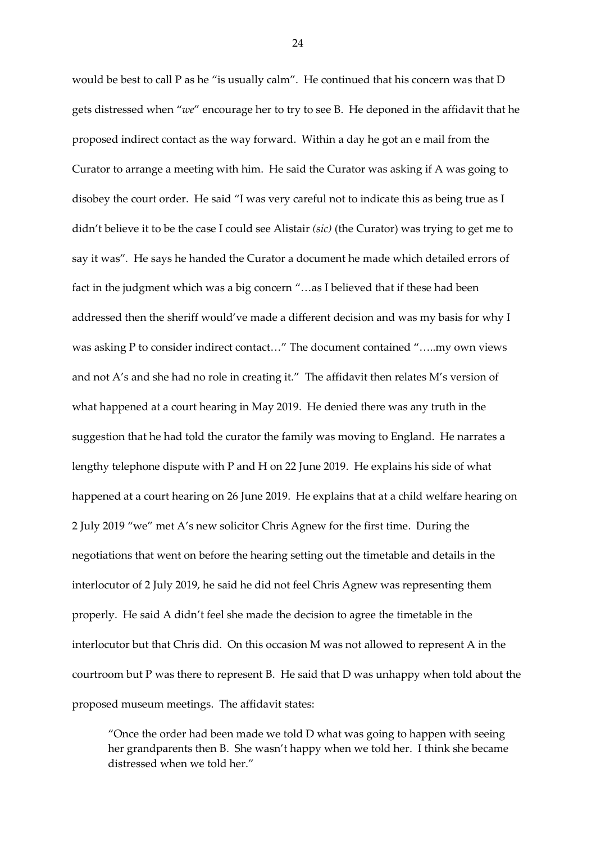would be best to call P as he "is usually calm". He continued that his concern was that D gets distressed when "*we*" encourage her to try to see B. He deponed in the affidavit that he proposed indirect contact as the way forward. Within a day he got an e mail from the Curator to arrange a meeting with him. He said the Curator was asking if A was going to disobey the court order. He said "I was very careful not to indicate this as being true as I didn't believe it to be the case I could see Alistair *(sic)* (the Curator) was trying to get me to say it was"*.* He says he handed the Curator a document he made which detailed errors of fact in the judgment which was a big concern "…as I believed that if these had been addressed then the sheriff would've made a different decision and was my basis for why I was asking P to consider indirect contact…" The document contained "…..my own views and not A's and she had no role in creating it." The affidavit then relates M's version of what happened at a court hearing in May 2019. He denied there was any truth in the suggestion that he had told the curator the family was moving to England. He narrates a lengthy telephone dispute with P and H on 22 June 2019. He explains his side of what happened at a court hearing on 26 June 2019. He explains that at a child welfare hearing on 2 July 2019 "we" met A's new solicitor Chris Agnew for the first time. During the negotiations that went on before the hearing setting out the timetable and details in the interlocutor of 2 July 2019, he said he did not feel Chris Agnew was representing them properly. He said A didn't feel she made the decision to agree the timetable in the interlocutor but that Chris did. On this occasion M was not allowed to represent A in the courtroom but P was there to represent B. He said that D was unhappy when told about the proposed museum meetings. The affidavit states:

"Once the order had been made we told D what was going to happen with seeing her grandparents then B. She wasn't happy when we told her. I think she became distressed when we told her."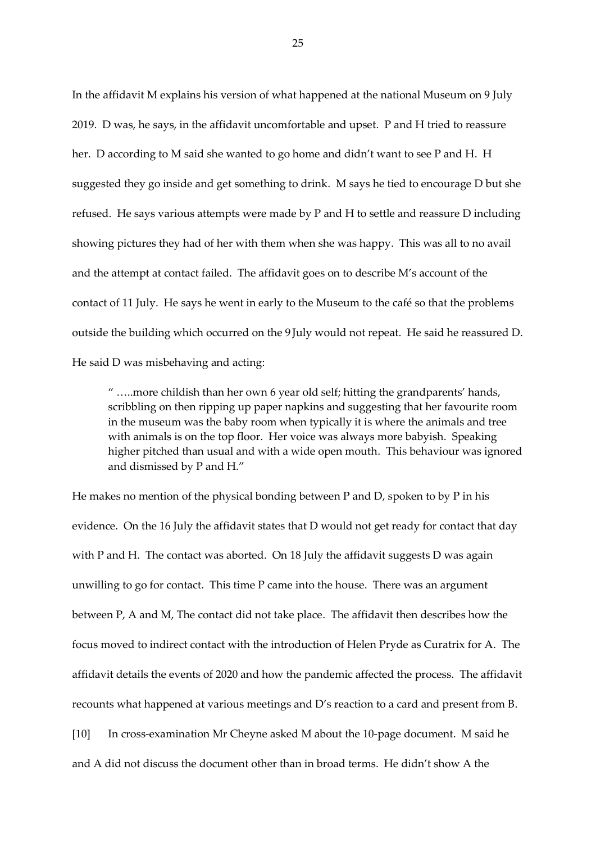In the affidavit M explains his version of what happened at the national Museum on 9 July 2019. D was, he says, in the affidavit uncomfortable and upset. P and H tried to reassure her. D according to M said she wanted to go home and didn't want to see P and H. H suggested they go inside and get something to drink. M says he tied to encourage D but she refused. He says various attempts were made by P and H to settle and reassure D including showing pictures they had of her with them when she was happy. This was all to no avail and the attempt at contact failed. The affidavit goes on to describe M's account of the contact of 11 July. He says he went in early to the Museum to the café so that the problems outside the building which occurred on the 9 July would not repeat. He said he reassured D. He said D was misbehaving and acting:

" …..more childish than her own 6 year old self; hitting the grandparents' hands, scribbling on then ripping up paper napkins and suggesting that her favourite room in the museum was the baby room when typically it is where the animals and tree with animals is on the top floor. Her voice was always more babyish. Speaking higher pitched than usual and with a wide open mouth. This behaviour was ignored and dismissed by P and H."

He makes no mention of the physical bonding between P and D, spoken to by P in his evidence. On the 16 July the affidavit states that D would not get ready for contact that day with P and H. The contact was aborted. On 18 July the affidavit suggests D was again unwilling to go for contact. This time P came into the house. There was an argument between P, A and M, The contact did not take place. The affidavit then describes how the focus moved to indirect contact with the introduction of Helen Pryde as Curatrix for A. The affidavit details the events of 2020 and how the pandemic affected the process. The affidavit recounts what happened at various meetings and D's reaction to a card and present from B. [10] In cross-examination Mr Cheyne asked M about the 10-page document. M said he and A did not discuss the document other than in broad terms. He didn't show A the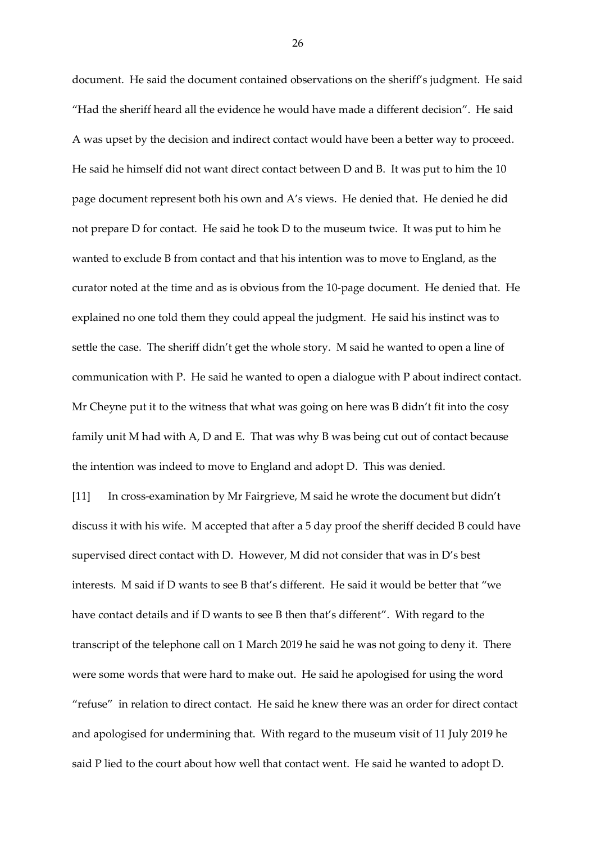document. He said the document contained observations on the sheriff's judgment. He said "Had the sheriff heard all the evidence he would have made a different decision". He said A was upset by the decision and indirect contact would have been a better way to proceed. He said he himself did not want direct contact between D and B. It was put to him the 10 page document represent both his own and A's views. He denied that. He denied he did not prepare D for contact. He said he took D to the museum twice. It was put to him he wanted to exclude B from contact and that his intention was to move to England, as the curator noted at the time and as is obvious from the 10-page document. He denied that. He explained no one told them they could appeal the judgment. He said his instinct was to settle the case. The sheriff didn't get the whole story. M said he wanted to open a line of communication with P. He said he wanted to open a dialogue with P about indirect contact. Mr Cheyne put it to the witness that what was going on here was B didn't fit into the cosy family unit M had with A, D and E. That was why B was being cut out of contact because the intention was indeed to move to England and adopt D. This was denied.

[11] In cross-examination by Mr Fairgrieve, M said he wrote the document but didn't discuss it with his wife. M accepted that after a 5 day proof the sheriff decided B could have supervised direct contact with D. However, M did not consider that was in D's best interests. M said if D wants to see B that's different. He said it would be better that "we have contact details and if D wants to see B then that's different". With regard to the transcript of the telephone call on 1 March 2019 he said he was not going to deny it. There were some words that were hard to make out. He said he apologised for using the word "refuse" in relation to direct contact. He said he knew there was an order for direct contact and apologised for undermining that. With regard to the museum visit of 11 July 2019 he said P lied to the court about how well that contact went. He said he wanted to adopt D.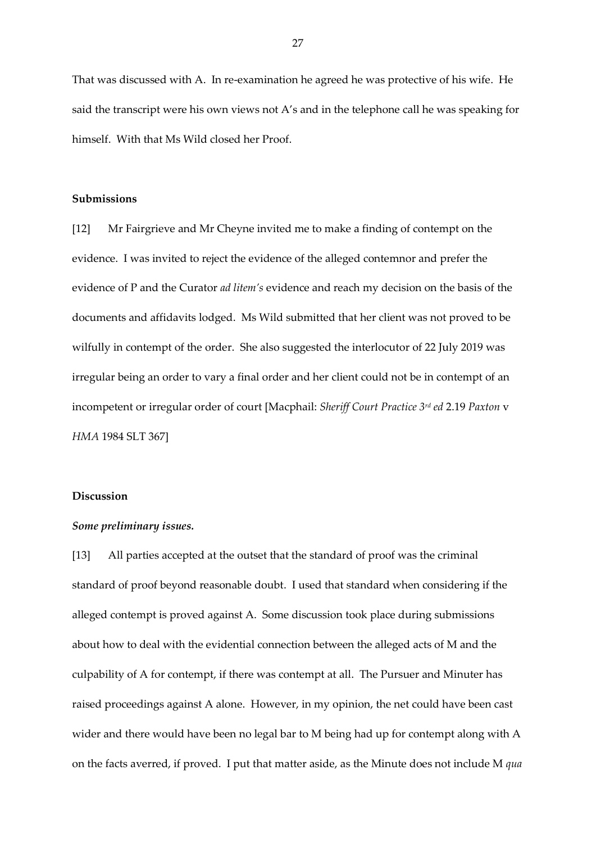That was discussed with A. In re-examination he agreed he was protective of his wife. He said the transcript were his own views not A's and in the telephone call he was speaking for himself. With that Ms Wild closed her Proof.

# **Submissions**

[12] Mr Fairgrieve and Mr Cheyne invited me to make a finding of contempt on the evidence. I was invited to reject the evidence of the alleged contemnor and prefer the evidence of P and the Curator *ad litem's* evidence and reach my decision on the basis of the documents and affidavits lodged. Ms Wild submitted that her client was not proved to be wilfully in contempt of the order. She also suggested the interlocutor of 22 July 2019 was irregular being an order to vary a final order and her client could not be in contempt of an incompetent or irregular order of court [Macphail: *Sheriff Court Practice 3rd ed* 2.19 *Paxton* v *HMA* 1984 SLT 367]

# **Discussion**

#### *Some preliminary issues.*

[13] All parties accepted at the outset that the standard of proof was the criminal standard of proof beyond reasonable doubt. I used that standard when considering if the alleged contempt is proved against A. Some discussion took place during submissions about how to deal with the evidential connection between the alleged acts of M and the culpability of A for contempt, if there was contempt at all. The Pursuer and Minuter has raised proceedings against A alone. However, in my opinion, the net could have been cast wider and there would have been no legal bar to M being had up for contempt along with A on the facts averred, if proved. I put that matter aside, as the Minute does not include M *qua*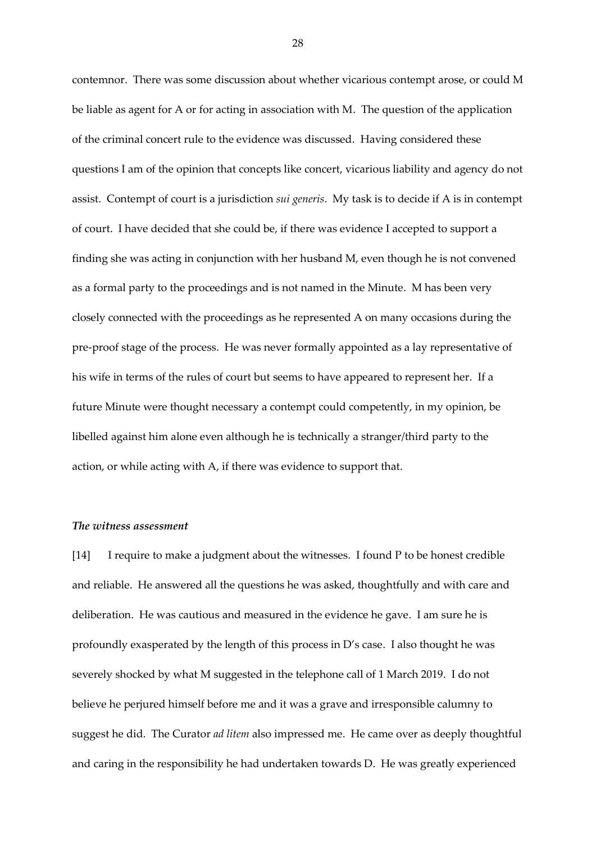contemnor. There was some discussion about whether vicarious contempt arose, or could M be liable as agent for A or for acting in association with M. The question of the application of the criminal concert rule to the evidence was discussed. Having considered these questions I am of the opinion that concepts like concert, vicarious liability and agency do not assist. Contempt of court is a jurisdiction *sui generis*. My task is to decide if A is in contempt of court. I have decided that she could be, if there was evidence I accepted to support a finding she was acting in conjunction with her husband M, even though he is not convened as a formal party to the proceedings and is not named in the Minute. M has been very closely connected with the proceedings as he represented A on many occasions during the pre-proof stage of the process. He was never formally appointed as a lay representative of his wife in terms of the rules of court but seems to have appeared to represent her. If a future Minute were thought necessary a contempt could competently, in my opinion, be libelled against him alone even although he is technically a stranger/third party to the action, or while acting with A, if there was evidence to support that.

#### *The witness assessment*

[14] I require to make a judgment about the witnesses. I found P to be honest credible and reliable. He answered all the questions he was asked, thoughtfully and with care and deliberation. He was cautious and measured in the evidence he gave. I am sure he is profoundly exasperated by the length of this process in D's case. I also thought he was severely shocked by what M suggested in the telephone call of 1 March 2019. I do not believe he perjured himself before me and it was a grave and irresponsible calumny to suggest he did. The Curator *ad litem* also impressed me. He came over as deeply thoughtful and caring in the responsibility he had undertaken towards D. He was greatly experienced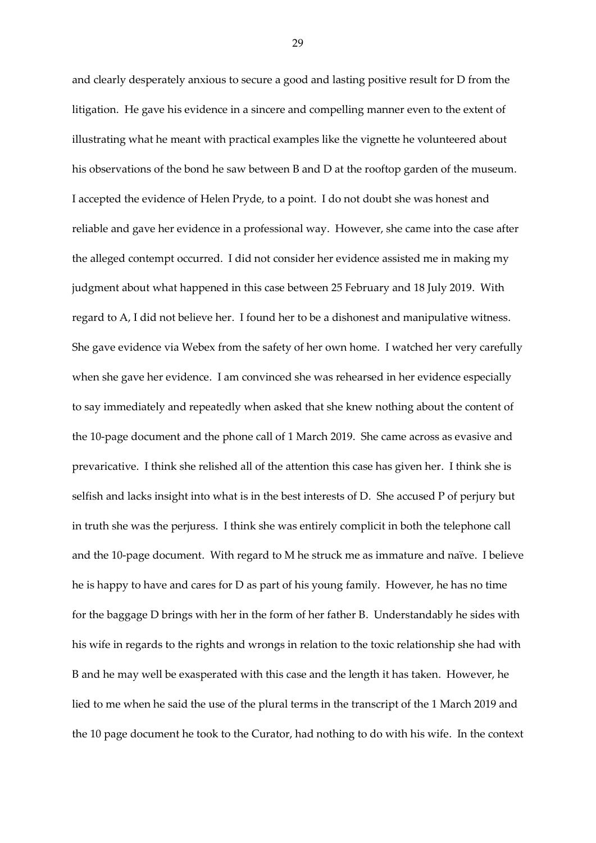and clearly desperately anxious to secure a good and lasting positive result for D from the litigation. He gave his evidence in a sincere and compelling manner even to the extent of illustrating what he meant with practical examples like the vignette he volunteered about his observations of the bond he saw between B and D at the rooftop garden of the museum. I accepted the evidence of Helen Pryde, to a point. I do not doubt she was honest and reliable and gave her evidence in a professional way. However, she came into the case after the alleged contempt occurred. I did not consider her evidence assisted me in making my judgment about what happened in this case between 25 February and 18 July 2019. With regard to A, I did not believe her. I found her to be a dishonest and manipulative witness. She gave evidence via Webex from the safety of her own home. I watched her very carefully when she gave her evidence. I am convinced she was rehearsed in her evidence especially to say immediately and repeatedly when asked that she knew nothing about the content of the 10-page document and the phone call of 1 March 2019. She came across as evasive and prevaricative. I think she relished all of the attention this case has given her. I think she is selfish and lacks insight into what is in the best interests of D. She accused P of perjury but in truth she was the perjuress. I think she was entirely complicit in both the telephone call and the 10-page document. With regard to M he struck me as immature and naïve. I believe he is happy to have and cares for D as part of his young family. However, he has no time for the baggage D brings with her in the form of her father B. Understandably he sides with his wife in regards to the rights and wrongs in relation to the toxic relationship she had with B and he may well be exasperated with this case and the length it has taken. However, he lied to me when he said the use of the plural terms in the transcript of the 1 March 2019 and the 10 page document he took to the Curator, had nothing to do with his wife. In the context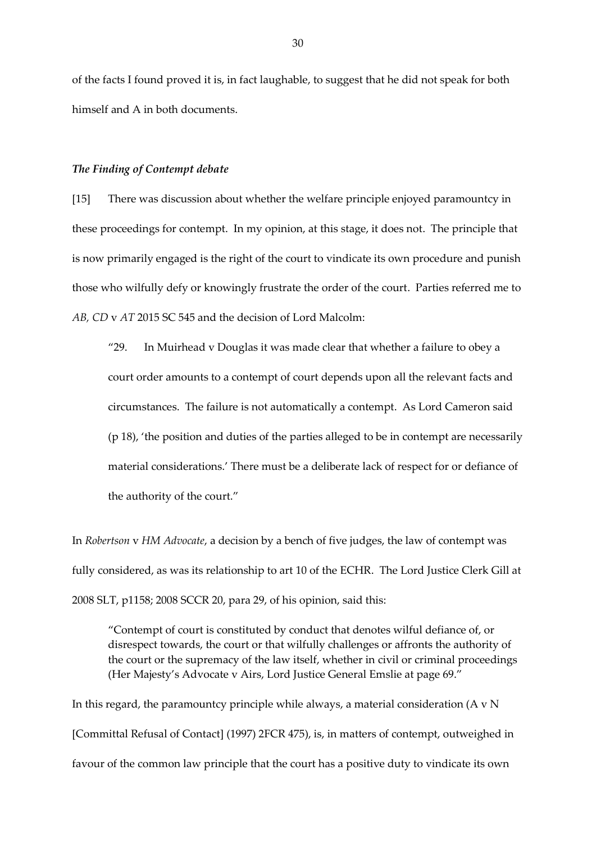of the facts I found proved it is, in fact laughable, to suggest that he did not speak for both himself and A in both documents.

### *The Finding of Contempt debate*

[15] There was discussion about whether the welfare principle enjoyed paramountcy in these proceedings for contempt. In my opinion, at this stage, it does not. The principle that is now primarily engaged is the right of the court to vindicate its own procedure and punish those who wilfully defy or knowingly frustrate the order of the court. Parties referred me to *AB, CD* v *AT* 2015 SC 545 and the decision of Lord Malcolm:

"29. In Muirhead v Douglas it was made clear that whether a failure to obey a court order amounts to a contempt of court depends upon all the relevant facts and circumstances. The failure is not automatically a contempt. As Lord Cameron said (p 18), 'the position and duties of the parties alleged to be in contempt are necessarily material considerations.' There must be a deliberate lack of respect for or defiance of the authority of the court."

In *Robertson* v *HM Advocate*, a decision by a bench of five judges, the law of contempt was fully considered, as was its relationship to art 10 of the ECHR. The Lord Justice Clerk Gill at 2008 SLT, p1158; 2008 SCCR 20, para 29, of his opinion, said this:

"Contempt of court is constituted by conduct that denotes wilful defiance of, or disrespect towards, the court or that wilfully challenges or affronts the authority of the court or the supremacy of the law itself, whether in civil or criminal proceedings (Her Majesty's Advocate v Airs, Lord Justice General Emslie at page 69."

In this regard, the paramountcy principle while always, a material consideration (A v N [Committal Refusal of Contact] (1997) 2FCR 475), is, in matters of contempt, outweighed in favour of the common law principle that the court has a positive duty to vindicate its own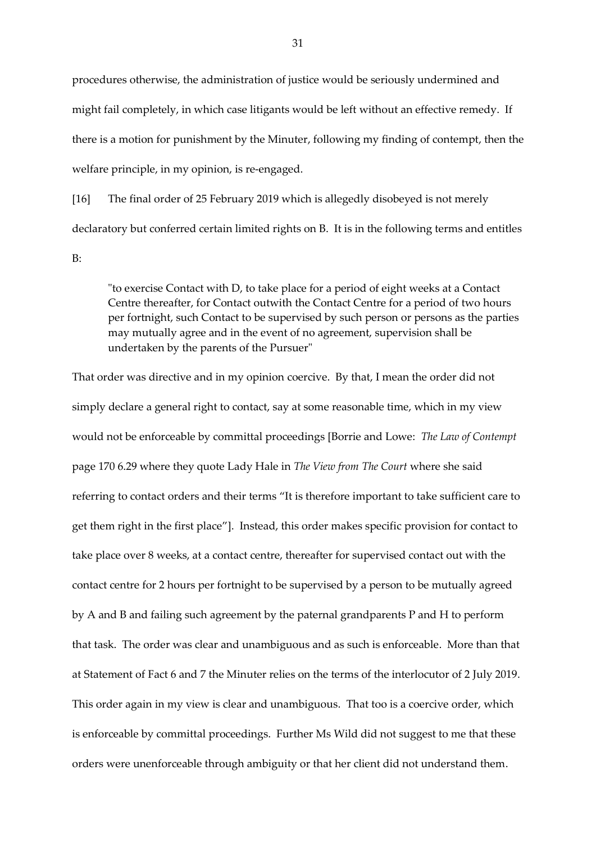procedures otherwise, the administration of justice would be seriously undermined and might fail completely, in which case litigants would be left without an effective remedy. If there is a motion for punishment by the Minuter, following my finding of contempt, then the welfare principle, in my opinion, is re-engaged.

[16] The final order of 25 February 2019 which is allegedly disobeyed is not merely declaratory but conferred certain limited rights on B. It is in the following terms and entitles

B:

"to exercise Contact with D, to take place for a period of eight weeks at a Contact Centre thereafter, for Contact outwith the Contact Centre for a period of two hours per fortnight, such Contact to be supervised by such person or persons as the parties may mutually agree and in the event of no agreement, supervision shall be undertaken by the parents of the Pursuer"

That order was directive and in my opinion coercive. By that, I mean the order did not simply declare a general right to contact, say at some reasonable time, which in my view would not be enforceable by committal proceedings [Borrie and Lowe: *The Law of Contempt* page 170 6.29 where they quote Lady Hale in *The View from The Court* where she said referring to contact orders and their terms "It is therefore important to take sufficient care to get them right in the first place"]. Instead, this order makes specific provision for contact to take place over 8 weeks, at a contact centre, thereafter for supervised contact out with the contact centre for 2 hours per fortnight to be supervised by a person to be mutually agreed by A and B and failing such agreement by the paternal grandparents P and H to perform that task. The order was clear and unambiguous and as such is enforceable. More than that at Statement of Fact 6 and 7 the Minuter relies on the terms of the interlocutor of 2 July 2019. This order again in my view is clear and unambiguous. That too is a coercive order, which is enforceable by committal proceedings. Further Ms Wild did not suggest to me that these orders were unenforceable through ambiguity or that her client did not understand them.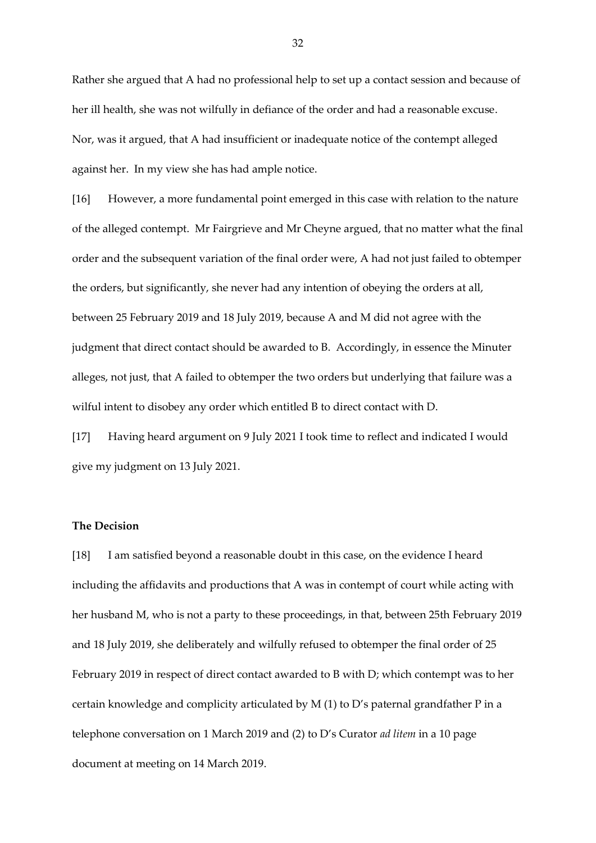Rather she argued that A had no professional help to set up a contact session and because of her ill health, she was not wilfully in defiance of the order and had a reasonable excuse. Nor, was it argued, that A had insufficient or inadequate notice of the contempt alleged against her. In my view she has had ample notice.

[16] However, a more fundamental point emerged in this case with relation to the nature of the alleged contempt. Mr Fairgrieve and Mr Cheyne argued, that no matter what the final order and the subsequent variation of the final order were, A had not just failed to obtemper the orders, but significantly, she never had any intention of obeying the orders at all, between 25 February 2019 and 18 July 2019, because A and M did not agree with the judgment that direct contact should be awarded to B. Accordingly, in essence the Minuter alleges, not just, that A failed to obtemper the two orders but underlying that failure was a wilful intent to disobey any order which entitled B to direct contact with D.

[17] Having heard argument on 9 July 2021 I took time to reflect and indicated I would give my judgment on 13 July 2021.

# **The Decision**

[18] I am satisfied beyond a reasonable doubt in this case, on the evidence I heard including the affidavits and productions that A was in contempt of court while acting with her husband M, who is not a party to these proceedings, in that, between 25th February 2019 and 18 July 2019, she deliberately and wilfully refused to obtemper the final order of 25 February 2019 in respect of direct contact awarded to B with D; which contempt was to her certain knowledge and complicity articulated by M (1) to D's paternal grandfather P in a telephone conversation on 1 March 2019 and (2) to D's Curator *ad litem* in a 10 page document at meeting on 14 March 2019.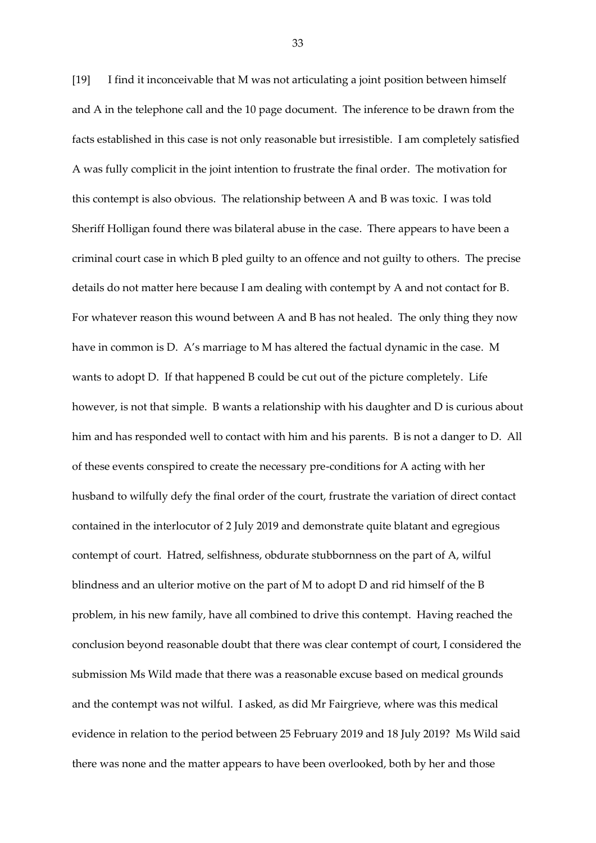[19] I find it inconceivable that M was not articulating a joint position between himself and A in the telephone call and the 10 page document. The inference to be drawn from the facts established in this case is not only reasonable but irresistible. I am completely satisfied A was fully complicit in the joint intention to frustrate the final order. The motivation for this contempt is also obvious. The relationship between A and B was toxic. I was told Sheriff Holligan found there was bilateral abuse in the case. There appears to have been a criminal court case in which B pled guilty to an offence and not guilty to others. The precise details do not matter here because I am dealing with contempt by A and not contact for B. For whatever reason this wound between A and B has not healed. The only thing they now have in common is D. A's marriage to M has altered the factual dynamic in the case. M wants to adopt D. If that happened B could be cut out of the picture completely. Life however, is not that simple. B wants a relationship with his daughter and D is curious about him and has responded well to contact with him and his parents. B is not a danger to D. All of these events conspired to create the necessary pre-conditions for A acting with her husband to wilfully defy the final order of the court, frustrate the variation of direct contact contained in the interlocutor of 2 July 2019 and demonstrate quite blatant and egregious contempt of court. Hatred, selfishness, obdurate stubbornness on the part of A, wilful blindness and an ulterior motive on the part of M to adopt D and rid himself of the B problem, in his new family, have all combined to drive this contempt. Having reached the conclusion beyond reasonable doubt that there was clear contempt of court, I considered the submission Ms Wild made that there was a reasonable excuse based on medical grounds and the contempt was not wilful. I asked, as did Mr Fairgrieve, where was this medical evidence in relation to the period between 25 February 2019 and 18 July 2019? Ms Wild said there was none and the matter appears to have been overlooked, both by her and those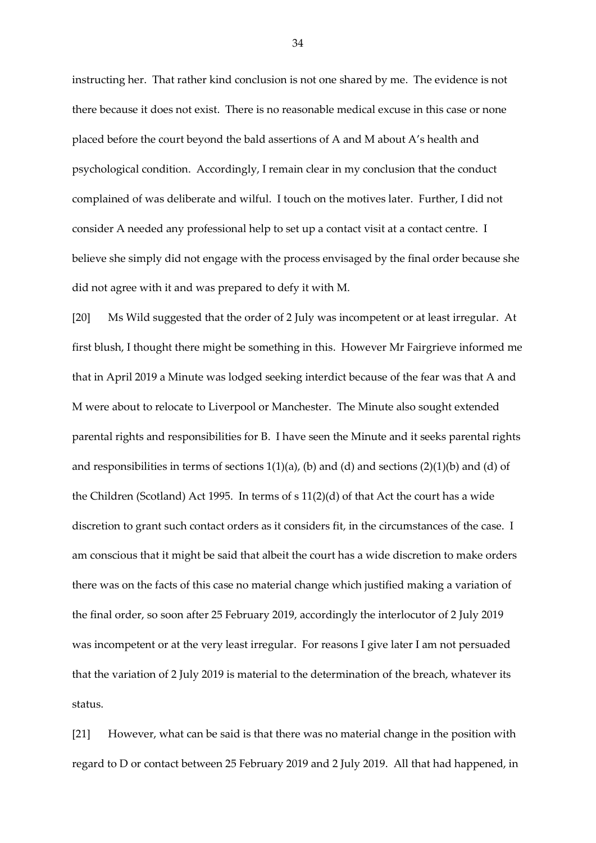instructing her. That rather kind conclusion is not one shared by me. The evidence is not there because it does not exist. There is no reasonable medical excuse in this case or none placed before the court beyond the bald assertions of A and M about A's health and psychological condition. Accordingly, I remain clear in my conclusion that the conduct complained of was deliberate and wilful. I touch on the motives later. Further, I did not consider A needed any professional help to set up a contact visit at a contact centre. I believe she simply did not engage with the process envisaged by the final order because she did not agree with it and was prepared to defy it with M.

[20] Ms Wild suggested that the order of 2 July was incompetent or at least irregular. At first blush, I thought there might be something in this. However Mr Fairgrieve informed me that in April 2019 a Minute was lodged seeking interdict because of the fear was that A and M were about to relocate to Liverpool or Manchester. The Minute also sought extended parental rights and responsibilities for B. I have seen the Minute and it seeks parental rights and responsibilities in terms of sections  $1(1)(a)$ , (b) and (d) and sections  $(2)(1)(b)$  and (d) of the Children (Scotland) Act 1995. In terms of s 11(2)(d) of that Act the court has a wide discretion to grant such contact orders as it considers fit, in the circumstances of the case. I am conscious that it might be said that albeit the court has a wide discretion to make orders there was on the facts of this case no material change which justified making a variation of the final order, so soon after 25 February 2019, accordingly the interlocutor of 2 July 2019 was incompetent or at the very least irregular. For reasons I give later I am not persuaded that the variation of 2 July 2019 is material to the determination of the breach, whatever its status.

[21] However, what can be said is that there was no material change in the position with regard to D or contact between 25 February 2019 and 2 July 2019. All that had happened, in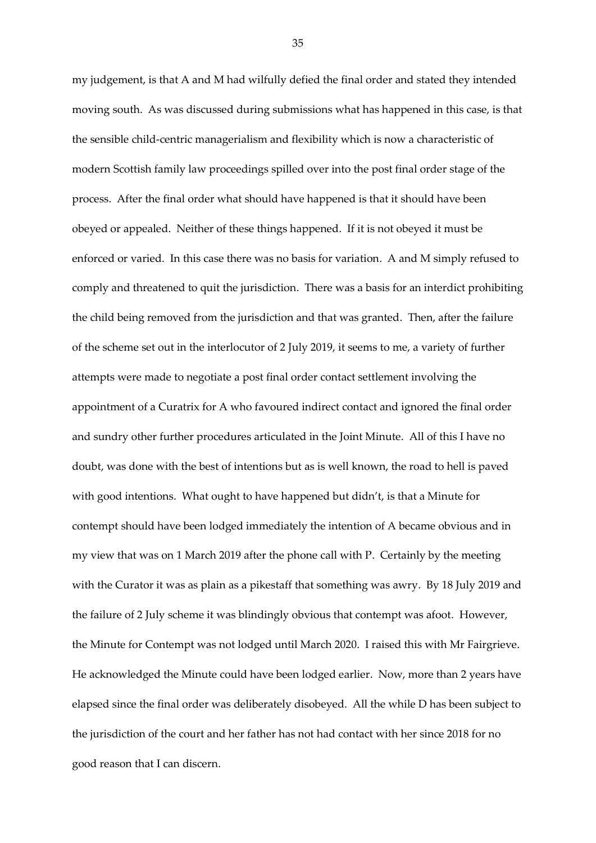my judgement, is that A and M had wilfully defied the final order and stated they intended moving south. As was discussed during submissions what has happened in this case, is that the sensible child-centric managerialism and flexibility which is now a characteristic of modern Scottish family law proceedings spilled over into the post final order stage of the process. After the final order what should have happened is that it should have been obeyed or appealed. Neither of these things happened. If it is not obeyed it must be enforced or varied. In this case there was no basis for variation. A and M simply refused to comply and threatened to quit the jurisdiction. There was a basis for an interdict prohibiting the child being removed from the jurisdiction and that was granted. Then, after the failure of the scheme set out in the interlocutor of 2 July 2019, it seems to me, a variety of further attempts were made to negotiate a post final order contact settlement involving the appointment of a Curatrix for A who favoured indirect contact and ignored the final order and sundry other further procedures articulated in the Joint Minute. All of this I have no doubt, was done with the best of intentions but as is well known, the road to hell is paved with good intentions. What ought to have happened but didn't, is that a Minute for contempt should have been lodged immediately the intention of A became obvious and in my view that was on 1 March 2019 after the phone call with P. Certainly by the meeting with the Curator it was as plain as a pikestaff that something was awry. By 18 July 2019 and the failure of 2 July scheme it was blindingly obvious that contempt was afoot. However, the Minute for Contempt was not lodged until March 2020. I raised this with Mr Fairgrieve. He acknowledged the Minute could have been lodged earlier. Now, more than 2 years have elapsed since the final order was deliberately disobeyed. All the while D has been subject to the jurisdiction of the court and her father has not had contact with her since 2018 for no good reason that I can discern.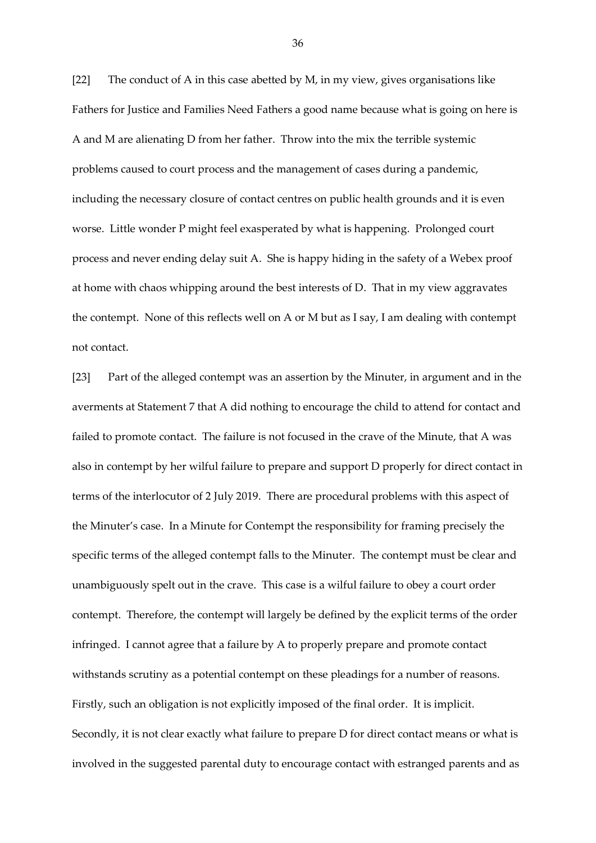[22] The conduct of A in this case abetted by M, in my view, gives organisations like Fathers for Justice and Families Need Fathers a good name because what is going on here is A and M are alienating D from her father. Throw into the mix the terrible systemic problems caused to court process and the management of cases during a pandemic, including the necessary closure of contact centres on public health grounds and it is even worse. Little wonder P might feel exasperated by what is happening. Prolonged court process and never ending delay suit A. She is happy hiding in the safety of a Webex proof at home with chaos whipping around the best interests of D. That in my view aggravates the contempt. None of this reflects well on A or M but as I say, I am dealing with contempt not contact.

[23] Part of the alleged contempt was an assertion by the Minuter, in argument and in the averments at Statement 7 that A did nothing to encourage the child to attend for contact and failed to promote contact. The failure is not focused in the crave of the Minute, that A was also in contempt by her wilful failure to prepare and support D properly for direct contact in terms of the interlocutor of 2 July 2019. There are procedural problems with this aspect of the Minuter's case. In a Minute for Contempt the responsibility for framing precisely the specific terms of the alleged contempt falls to the Minuter. The contempt must be clear and unambiguously spelt out in the crave. This case is a wilful failure to obey a court order contempt. Therefore, the contempt will largely be defined by the explicit terms of the order infringed. I cannot agree that a failure by A to properly prepare and promote contact withstands scrutiny as a potential contempt on these pleadings for a number of reasons. Firstly, such an obligation is not explicitly imposed of the final order. It is implicit. Secondly, it is not clear exactly what failure to prepare D for direct contact means or what is involved in the suggested parental duty to encourage contact with estranged parents and as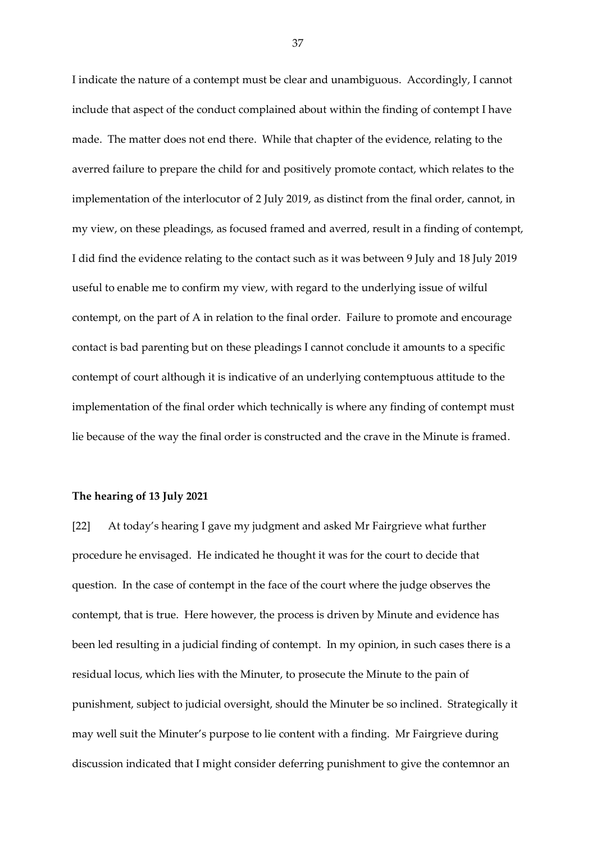I indicate the nature of a contempt must be clear and unambiguous. Accordingly, I cannot include that aspect of the conduct complained about within the finding of contempt I have made. The matter does not end there. While that chapter of the evidence, relating to the averred failure to prepare the child for and positively promote contact, which relates to the implementation of the interlocutor of 2 July 2019, as distinct from the final order, cannot, in my view, on these pleadings, as focused framed and averred, result in a finding of contempt, I did find the evidence relating to the contact such as it was between 9 July and 18 July 2019 useful to enable me to confirm my view, with regard to the underlying issue of wilful contempt, on the part of A in relation to the final order. Failure to promote and encourage contact is bad parenting but on these pleadings I cannot conclude it amounts to a specific contempt of court although it is indicative of an underlying contemptuous attitude to the implementation of the final order which technically is where any finding of contempt must lie because of the way the final order is constructed and the crave in the Minute is framed.

### **The hearing of 13 July 2021**

[22] At today's hearing I gave my judgment and asked Mr Fairgrieve what further procedure he envisaged. He indicated he thought it was for the court to decide that question. In the case of contempt in the face of the court where the judge observes the contempt, that is true. Here however, the process is driven by Minute and evidence has been led resulting in a judicial finding of contempt. In my opinion, in such cases there is a residual locus, which lies with the Minuter, to prosecute the Minute to the pain of punishment, subject to judicial oversight, should the Minuter be so inclined. Strategically it may well suit the Minuter's purpose to lie content with a finding. Mr Fairgrieve during discussion indicated that I might consider deferring punishment to give the contemnor an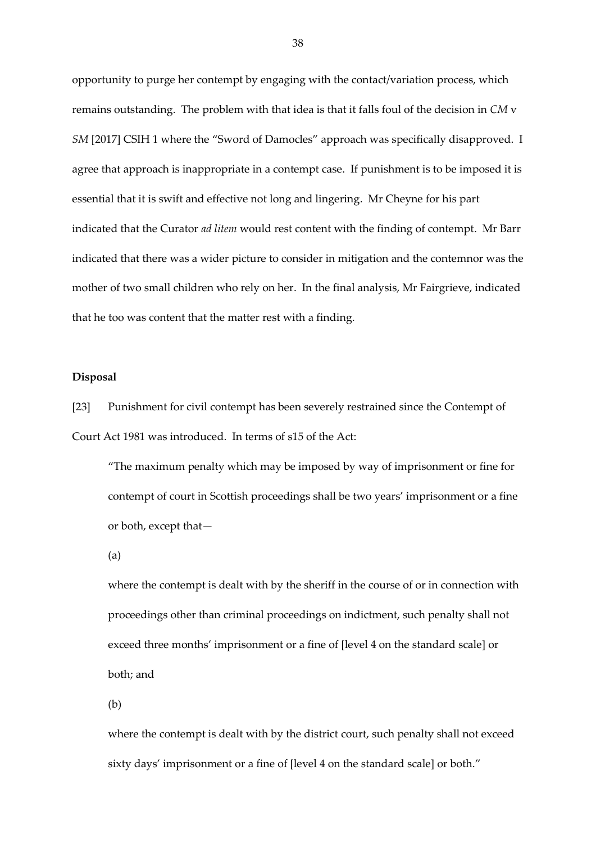opportunity to purge her contempt by engaging with the contact/variation process, which remains outstanding. The problem with that idea is that it falls foul of the decision in *CM* v *SM* [2017] CSIH 1 where the "Sword of Damocles" approach was specifically disapproved. I agree that approach is inappropriate in a contempt case. If punishment is to be imposed it is essential that it is swift and effective not long and lingering. Mr Cheyne for his part indicated that the Curator *ad litem* would rest content with the finding of contempt. Mr Barr indicated that there was a wider picture to consider in mitigation and the contemnor was the mother of two small children who rely on her. In the final analysis, Mr Fairgrieve, indicated that he too was content that the matter rest with a finding.

# **Disposal**

[23] Punishment for civil contempt has been severely restrained since the Contempt of Court Act 1981 was introduced. In terms of s15 of the Act:

"The maximum penalty which may be imposed by way of imprisonment or fine for contempt of court in Scottish proceedings shall be two years' imprisonment or a fine or both, except that—

(a)

where the contempt is dealt with by the sheriff in the course of or in connection with proceedings other than criminal proceedings on indictment, such penalty shall not exceed three months' imprisonment or a fine of [level 4 on the standard scale] or both; and

(b)

where the contempt is dealt with by the district court, such penalty shall not exceed sixty days' imprisonment or a fine of [level 4 on the standard scale] or both."